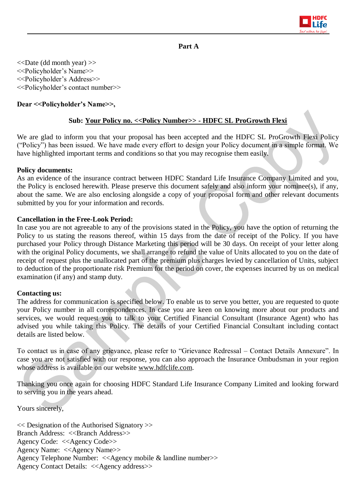

## **Part A**

<<Date (dd month year) >> <<Policyholder's Name>> <<Policyholder's Address>> <<Policyholder's contact number>>

## **Dear <<Policyholder's Name>>,**

### **Sub: Your Policy no. <<Policy Number>> - HDFC SL ProGrowth Flexi**

We are glad to inform you that your proposal has been accepted and the HDFC SL ProGrowth Flexi Policy ("Policy") has been issued. We have made every effort to design your Policy document in a simple format. We have highlighted important terms and conditions so that you may recognise them easily.

#### **Policy documents:**

As an evidence of the insurance contract between HDFC Standard Life Insurance Company Limited and you, the Policy is enclosed herewith. Please preserve this document safely and also inform your nominee(s), if any, about the same. We are also enclosing alongside a copy of your proposal form and other relevant documents submitted by you for your information and records.

#### **Cancellation in the Free-Look Period:**

In case you are not agreeable to any of the provisions stated in the Policy, you have the option of returning the Policy to us stating the reasons thereof, within 15 days from the date of receipt of the Policy. If you have purchased your Policy through Distance Marketing this period will be 30 days. On receipt of your letter along with the original Policy documents, we shall arrange to refund the value of Units allocated to you on the date of receipt of request plus the unallocated part of the premium plus charges levied by cancellation of Units, subject to deduction of the proportionate risk Premium for the period on cover, the expenses incurred by us on medical examination (if any) and stamp duty.

#### **Contacting us:**

The address for communication is specified below. To enable us to serve you better, you are requested to quote your Policy number in all correspondences. In case you are keen on knowing more about our products and services, we would request you to talk to your Certified Financial Consultant (Insurance Agent) who has advised you while taking this Policy. The details of your Certified Financial Consultant including contact details are listed below.

To contact us in case of any grievance, please refer to "Grievance Redressal – Contact Details Annexure". In case you are not satisfied with our response, you can also approach the Insurance Ombudsman in your region whose address is available on our website www.hdfclife.com.

Thanking you once again for choosing HDFC Standard Life Insurance Company Limited and looking forward to serving you in the years ahead.

Yours sincerely,

<< Designation of the Authorised Signatory >> Branch Address: <<Br/>SBranch Address>> Agency Code: <<Agency Code>> Agency Name: <<Agency Name>> Agency Telephone Number: <<Agency mobile & landline number>> Agency Contact Details: <<Agency address>>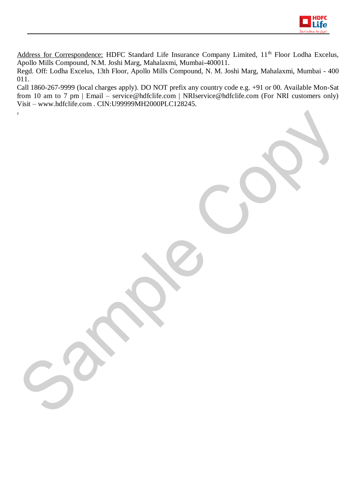

Address for Correspondence: HDFC Standard Life Insurance Company Limited, 11<sup>th</sup> Floor Lodha Excelus, Apollo Mills Compound, N.M. Joshi Marg, Mahalaxmi, Mumbai-400011.

Regd. Off: Lodha Excelus, 13th Floor, Apollo Mills Compound, N. M. Joshi Marg, Mahalaxmi, Mumbai - 400 011.

Call 1860-267-9999 (local charges apply). DO NOT prefix any country code e.g. +91 or 00. Available Mon-Sat from 10 am to 7 pm | Email – service@hdfclife.com | NRIservice@hdfclife.com (For NRI customers only) Visit – www.hdfclife.com . CIN:U99999MH2000PLC128245.

.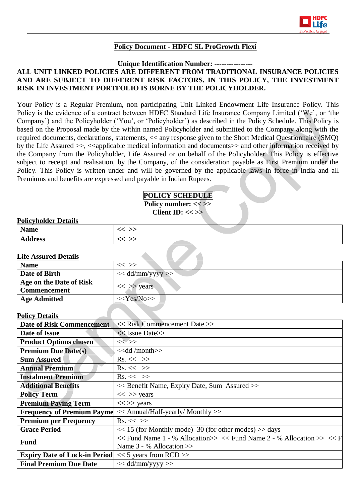

## **Policy Document - HDFC SL ProGrowth Flexi**

### **Unique Identification Number: ----------------**

## **ALL UNIT LINKED POLICIES ARE DIFFERENT FROM TRADITIONAL INSURANCE POLICIES AND ARE SUBJECT TO DIFFERENT RISK FACTORS. IN THIS POLICY, THE INVESTMENT RISK IN INVESTMENT PORTFOLIO IS BORNE BY THE POLICYHOLDER.**

Your Policy is a Regular Premium, non participating Unit Linked Endowment Life Insurance Policy. This Policy is the evidence of a contract between HDFC Standard Life Insurance Company Limited ('We', or 'the Company') and the Policyholder ('You', or 'Policyholder') as described in the Policy Schedule. This Policy is based on the Proposal made by the within named Policyholder and submitted to the Company along with the required documents, declarations, statements, << any response given to the Short Medical Questionnaire (SMQ) by the Life Assured >>, <<applicable medical information and documents>> and other information received by the Company from the Policyholder, Life Assured or on behalf of the Policyholder. This Policy is effective subject to receipt and realisation, by the Company, of the consideration payable as First Premium under the Policy. This Policy is written under and will be governed by the applicable laws in force in India and all Premiums and benefits are expressed and payable in Indian Rupees.

## **POLICY SCHEDULE Policy number: << >> Client ID: << >>**

#### **Policyholder Details**

| <b>Name</b>         | ر ر<br>$\overline{\phantom{0}}$<br>~<br>〜  |  |
|---------------------|--------------------------------------------|--|
| .<br><b>Address</b> | ر ر<br>$\widetilde{\phantom{a}}$<br>~<br>〜 |  |

#### **Life Assured Details**

| <b>Name</b>                                    | $<<$ $>>$            |
|------------------------------------------------|----------------------|
| Date of Birth                                  | $<<$ dd/mm/yyyy $>>$ |
| Age on the Date of Risk<br><b>Commencement</b> | $<<$ >> years        |
| <b>Age Admitted</b>                            | $<<$ Yes/No>>        |

#### **Policy Details**

| і VIIU у Dulaiiэ                                                                 |                                                                                  |  |  |  |
|----------------------------------------------------------------------------------|----------------------------------------------------------------------------------|--|--|--|
| <b>Date of Risk Commencement</b>                                                 | $<<$ Risk Commencement Date $>>$                                                 |  |  |  |
| Date of Issue                                                                    | $<<$ Issue Date>>                                                                |  |  |  |
| <b>Product Options chosen</b><br>$<<$ >>                                         |                                                                                  |  |  |  |
| <b>Premium Due Date(s)</b>                                                       | < <dd month="">&gt;</dd>                                                         |  |  |  |
| <b>Sum Assured</b>                                                               | $Rs. \ll \gg$                                                                    |  |  |  |
| <b>Annual Premium</b>                                                            | $\mathrm{Rs.} \ll \gg$                                                           |  |  |  |
| <b>Instalment Premium</b>                                                        | $\mathrm{Rs.} \ll \gg$                                                           |  |  |  |
| <b>Additional Benefits</b>                                                       | << Benefit Name, Expiry Date, Sum Assured >>                                     |  |  |  |
| <b>Policy Term</b>                                                               | $<<$ >> years                                                                    |  |  |  |
| <b>Premium Paying Term</b>                                                       | $<<$ >> years                                                                    |  |  |  |
| <b>Frequency of Premium Payme</b><br>$<<$ Annual/Half-yearly/ Monthly $>>$       |                                                                                  |  |  |  |
| <b>Premium per Frequency</b>                                                     | $\mathrm{Rs.} \ll \gg$                                                           |  |  |  |
| $<< 15$ (for Monthly mode) 30 (for other modes) $>>$ days<br><b>Grace Period</b> |                                                                                  |  |  |  |
| <b>Fund</b>                                                                      | $<<$ Fund Name 1 - % Allocation $>>$ $<<$ Fund Name 2 - % Allocation $>>$ $<<$ F |  |  |  |
|                                                                                  | Name $3 - %$ Allocation $>>$                                                     |  |  |  |
| <b>Expiry Date of Lock-in Period</b> $<< 5$ years from RCD $>>$                  |                                                                                  |  |  |  |
| <b>Final Premium Due Date</b>                                                    | $<<$ dd/mm/yyyy >>                                                               |  |  |  |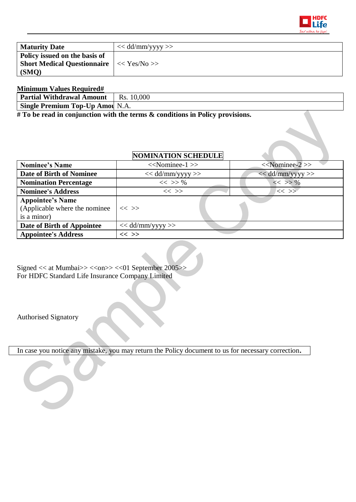

| <b>Maturity Date</b>                                                                                   | $<<$ dd/mm/yyyy >> |
|--------------------------------------------------------------------------------------------------------|--------------------|
| Policy issued on the basis of<br><b>Short Medical Questionnaire</b> $\vert \ll Y$ es/No $\gg$<br>(SMO) |                    |

# **Minimum Values Required#**

| Partial Withdrawal                | 0.000  |
|-----------------------------------|--------|
| Amount                            | Rs.    |
| <b>Single Premium Top-Up Amou</b> | - N.A. |

**# To be read in conjunction with the terms & conditions in Policy provisions.**

# **NOMINATION SCHEDULE**

| <b>Nominee's Name</b>                                                    | $<<$ Nominee-1 $>>$  | $<<$ Nominee-2 $>>$ |  |  |
|--------------------------------------------------------------------------|----------------------|---------------------|--|--|
| <b>Date of Birth of Nominee</b>                                          | $<<$ dd/mm/yyyy $>>$ | $<<$ dd/mm/yyyy >>  |  |  |
| <b>Nomination Percentage</b>                                             | $<<$ >> %            | $<<$ >> %           |  |  |
| <b>Nominee's Address</b>                                                 | $<<$ >>              | $<<$ >>             |  |  |
| <b>Appointee's Name</b><br>(Applicable where the nominee)<br>is a minor) | $<<$ >>              |                     |  |  |
| Date of Birth of Appointee                                               | $<<$ dd/mm/yyyy $>>$ |                     |  |  |
| <b>Appointee's Address</b>                                               | $<<$ >>              |                     |  |  |

Signed << at Mumbai>> <<on>> << 01 September 2005>> For HDFC Standard Life Insurance Company Limited

Authorised Signatory

In case you notice any mistake, you may return the Policy document to us for necessary correction**.**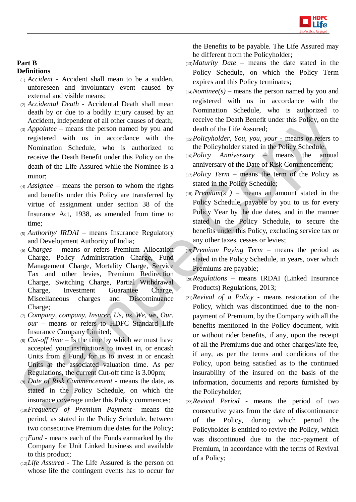

#### **Part B Definitions**

- (1) *Accident -* Accident shall mean to be a sudden, unforeseen and involuntary event caused by external and visible means;
- (2) *Accidental Death -* Accidental Death shall mean death by or due to a bodily injury caused by an Accident, independent of all other causes of death;
- (3) *Appointee –* means the person named by you and registered with us in accordance with the Nomination Schedule, who is authorized to receive the Death Benefit under this Policy on the death of the Life Assured while the Nominee is a minor;
- (4) *Assignee –* means the person to whom the rights and benefits under this Policy are transferred by virtue of assignment under section 38 of the Insurance Act, 1938, as amended from time to time;
- (5) *Authority/ IRDAI* means Insurance Regulatory and Development Authority of India;
- (6) *Charges -* means or refers Premium Allocation Charge, Policy Administration Charge, Fund Management Charge, Mortality Charge, Service Tax and other levies, Premium Redirection Charge, Switching Charge, Partial Withdrawal Charge, Investment Guarantee Charge, Miscellaneous charges and Discontinuance Charge;
- (7) *Company, company, Insurer, Us, us, We, we, Our, our* – means or refers to HDFC Standard Life Insurance Company Limited;
- $\alpha$  *(8) Cut-off time Is the time by which we must have* accepted your instructions to invest in, or encash Units from a Fund, for us to invest in or encash Units at the associated valuation time. As per Regulations, the current Cut-off time is 3.00pm;
- (9) *Date of Risk Commencement*  means the date, as stated in the Policy Schedule, on which the insurance coverage under this Policy commences;
- (10)*Frequency of Premium Payment–* means the period, as stated in the Policy Schedule, between two consecutive Premium due dates for the Policy;
- (11)*Fund*  means each of the Funds earmarked by the Company for Unit Linked business and available to this product;
- (12)*Life Assured -* The Life Assured is the person on whose life the contingent events has to occur for

the Benefits to be payable. The Life Assured may be different from the Policyholder;

- (13)*Maturity Date –* means the date stated in the Policy Schedule, on which the Policy Term expires and this Policy terminates;
- $(14)$ *Nominee(s)* means the person named by you and registered with us in accordance with the Nomination Schedule, who is authorized to receive the Death Benefit under this Policy, on the death of the Life Assured;
- (15)*Policyholder, You, you, your*  means or refers to the Policyholder stated in the Policy Schedule.
- (16)*Policy Anniversary*  means the annual anniversary of the Date of Risk Commencement;
- (17)*Policy Term*  means the term of the Policy as stated in the Policy Schedule;
- $(18)$  *Premium(s)* means an amount stated in the Policy Schedule, payable by you to us for every Policy Year by the due dates, and in the manner stated in the Policy Schedule, to secure the benefits under this Policy, excluding service tax or any other taxes, cesses or levies;
- (19)*Premium Paying Term*  means the period as stated in the Policy Schedule, in years, over which Premiums are payable;
- (20)*Regulations*  means IRDAI (Linked Insurance Products) Regulations, 2013;
- (21)*Revival of a Policy*  means restoration of the Policy, which was discontinued due to the nonpayment of Premium, by the Company with all the benefits mentioned in the Policy document, with or without rider benefits, if any, upon the receipt of all the Premiums due and other charges/late fee, if any, as per the terms and conditions of the Policy, upon being satisfied as to the continued insurability of the insured on the basis of the information, documents and reports furnished by the Policyholder;
- (22)*Revival Period*  means the period of two consecutive years from the date of discontinuance of the Policy, during which period the Policyholder is entitled to revive the Policy, which was discontinued due to the non-payment of Premium, in accordance with the terms of Revival of a Policy;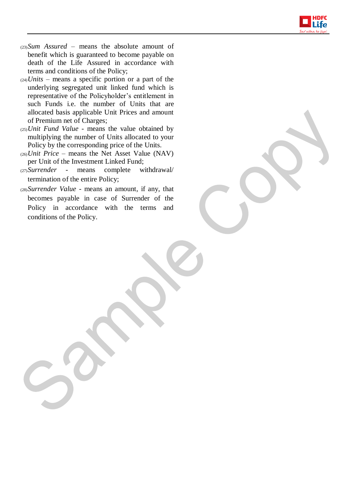

- (23)*Sum Assured* means the absolute amount of benefit which is guaranteed to become payable on death of the Life Assured in accordance with terms and conditions of the Policy;
- (24)*Units* means a specific portion or a part of the underlying segregated unit linked fund which is representative of the Policyholder's entitlement in such Funds i.e. the number of Units that are allocated basis applicable Unit Prices and amount of Premium net of Charges;
- (25)*Unit Fund Value*  means the value obtained by multiplying the number of Units allocated to your Policy by the corresponding price of the Units.
- (26)*Unit Price* means the Net Asset Value (NAV) per Unit of the Investment Linked Fund;
- (27)*Surrender*  means complete withdrawal/ termination of the entire Policy;
- (28)*Surrender Value*  means an amount, if any, that becomes payable in case of Surrender of the Policy in accordance with the terms and conditions of the Policy.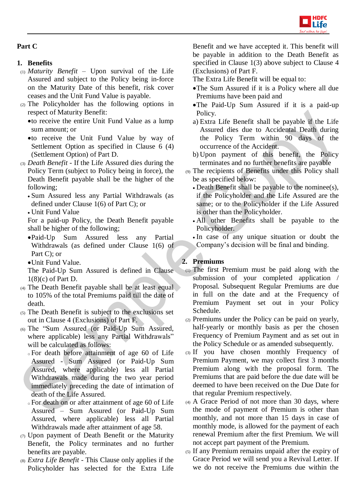

# **Part C**

# **1. Benefits**

- (1) *Maturity Benefit –* Upon survival of the Life Assured and subject to the Policy being in-force on the Maturity Date of this benefit, risk cover ceases and the Unit Fund Value is payable.
- (2) The Policyholder has the following options in respect of Maturity Benefit:
	- to receive the entire Unit Fund Value as a lump sum amount; or
	- to receive the Unit Fund Value by way of Settlement Option as specified in Clause 6 (4) (Settlement Option) of Part D.
- (3) *Death Benefit* If the Life Assured dies during the Policy Term (subject to Policy being in force), the Death Benefit payable shall be the higher of the following;
	- Sum Assured less any Partial Withdrawals (as defined under Clause 1(6) of Part C); or
	- Unit Fund Value

For a paid-up Policy, the Death Benefit payable shall be higher of the following;

Paid-Up Sum Assured less any Partial Withdrawals (as defined under Clause 1(6) of Part C); or

Unit Fund Value.

- The Paid-Up Sum Assured is defined in Clause 1(8)(c) of Part D.
- (4) The Death Benefit payable shall be at least equal to 105% of the total Premiums paid till the date of death.
- (5) The Death Benefit is subject to the exclusions set out in Clause 4 (Exclusions) of Part F.
- (6) The "Sum Assured (or Paid-Up Sum Assured, where applicable) less any Partial Withdrawals" will be calculated as follows:
	- <sup>o</sup> For death before attainment of age 60 of Life Assured - Sum Assured (or Paid-Up Sum Assured, where applicable) less all Partial Withdrawals made during the two year period immediately preceding the date of intimation of death of the Life Assured.
	- <sup>o</sup> For death on or after attainment of age 60 of Life Assured – Sum Assured (or Paid-Up Sum Assured, where applicable) less all Partial Withdrawals made after attainment of age 58.
- (7) Upon payment of Death Benefit or the Maturity Benefit, the Policy terminates and no further benefits are payable.
- (8) *Extra Life Benefit* This Clause only applies if the Policyholder has selected for the Extra Life

Benefit and we have accepted it. This benefit will be payable in addition to the Death Benefit as specified in Clause 1(3) above subject to Clause 4 (Exclusions) of Part F.

The Extra Life Benefit will be equal to:

- The Sum Assured if it is a Policy where all due Premiums have been paid and
- The Paid-Up Sum Assured if it is a paid-up Policy.
- a) Extra Life Benefit shall be payable if the Life Assured dies due to Accidental Death during the Policy Term within 90 days of the occurrence of the Accident.
- b) Upon payment of this benefit, the Policy terminates and no further benefits are payable
- (9) The recipients of Benefits under this Policy shall be as specified below:
	- Death Benefit shall be payable to the nominee(s), if the Policyholder and the Life Assured are the same; or to the Policyholder if the Life Assured is other than the Policyholder.
	- All other Benefits shall be payable to the Policyholder.
	- In case of any unique situation or doubt the Company's decision will be final and binding.

# **2. Premiums**

- (1) The first Premium must be paid along with the submission of your completed application / Proposal. Subsequent Regular Premiums are due in full on the date and at the Frequency of Premium Payment set out in your Policy Schedule.
- (2) Premiums under the Policy can be paid on yearly, half-yearly or monthly basis as per the chosen Frequency of Premium Payment and as set out in the Policy Schedule or as amended subsequently.
- (3) If you have chosen monthly Frequency of Premium Payment, we may collect first 3 months Premium along with the proposal form. The Premiums that are paid before the due date will be deemed to have been received on the Due Date for that regular Premium respectively.
- (4) A Grace Period of not more than 30 days, where the mode of payment of Premium is other than monthly, and not more than 15 days in case of monthly mode, is allowed for the payment of each renewal Premium after the first Premium. We will not accept part payment of the Premium.
- (5) If any Premium remains unpaid after the expiry of Grace Period we will send you a Revival Letter. If we do not receive the Premiums due within the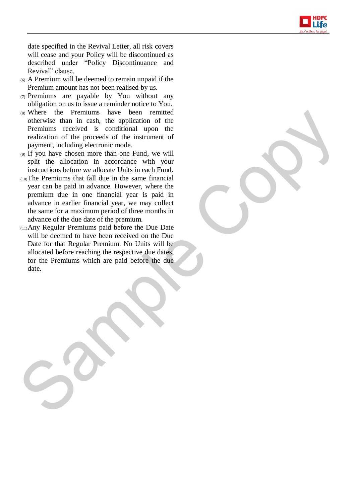

date specified in the Revival Letter, all risk covers will cease and your Policy will be discontinued as described under "Policy Discontinuance and Revival" clause.

- (6) A Premium will be deemed to remain unpaid if the Premium amount has not been realised by us.
- (7) Premiums are payable by You without any obligation on us to issue a reminder notice to You.
- (8) Where the Premiums have been remitted otherwise than in cash, the application of the Premiums received is conditional upon the realization of the proceeds of the instrument of payment, including electronic mode.
- (9) If you have chosen more than one Fund, we will split the allocation in accordance with your instructions before we allocate Units in each Fund.
- (10)The Premiums that fall due in the same financial year can be paid in advance. However, where the premium due in one financial year is paid in advance in earlier financial year, we may collect the same for a maximum period of three months in advance of the due date of the premium.
- (11)Any Regular Premiums paid before the Due Date will be deemed to have been received on the Due Date for that Regular Premium. No Units will be allocated before reaching the respective due dates, for the Premiums which are paid before the due date.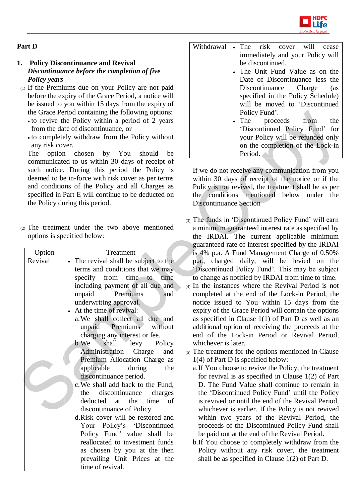

## **Part D**

## **1. Policy Discontinuance and Revival** *Discontinuance before the completion of five Policy years*

- (1) If the Premiums due on your Policy are not paid before the expiry of the Grace Period, a notice will be issued to you within 15 days from the expiry of the Grace Period containing the following options:
	- to revive the Policy within a period of 2 years from the date of discontinuance, or
	- to completely withdraw from the Policy without any risk cover.

The option chosen by You should be communicated to us within 30 days of receipt of such notice. During this period the Policy is deemed to be in-force with risk cover as per terms and conditions of the Policy and all Charges as specified in Part E will continue to be deducted on the Policy during this period.

(2) The treatment under the two above mentioned options is specified below:

| Option  | Treatment                                                     |
|---------|---------------------------------------------------------------|
| Revival | The revival shall be subject to the                           |
|         | terms and conditions that we may                              |
|         | time<br>from time to<br>specify                               |
|         | including payment of all due and                              |
|         | Premiums<br>unpaid<br>and                                     |
|         | underwriting approval.                                        |
|         | At the time of revival:                                       |
|         | a. We shall collect all due and                               |
|         | unpaid Premiums without                                       |
|         | charging any interest or fee.                                 |
|         | $b.$ We<br>shall<br>levy<br>Policy                            |
|         | Administration Charge<br>and                                  |
|         | Premium Allocation Charge as                                  |
|         | applicable<br>during<br>the                                   |
|         | discontinuance period.                                        |
|         | c. We shall add back to the Fund,                             |
|         | the discontinuance charges                                    |
|         | <sub>of</sub><br>deducted at the time                         |
|         | discontinuance of Policy<br>d.Risk cover will be restored and |
|         | Your Policy's 'Discontinued                                   |
|         | Policy Fund' value shall be                                   |
|         | reallocated to investment funds                               |
|         |                                                               |
|         | as chosen by you at the then<br>prevailing Unit Prices at the |
|         | time of revival.                                              |
|         |                                                               |

| Withdrawal | • The risk cover will<br>cease    |
|------------|-----------------------------------|
|            |                                   |
|            | immediately and your Policy will  |
|            | be discontinued.                  |
|            | • The Unit Fund Value as on the   |
|            | Date of Discontinuance less the   |
|            | Discontinuance Charge<br>(as      |
|            | specified in the Policy Schedule) |
|            | will be moved to 'Discontinued    |
|            | Policy Fund'.                     |
|            | • The proceeds from<br>the        |
|            | 'Discontinued Policy Fund' for    |
|            | your Policy will be refunded only |
|            | on the completion of the Lock-in  |
|            | Period.                           |

If we do not receive any communication from you within 30 days of receipt of the notice or if the Policy is not revived, the treatment shall be as per the conditions mentioned below under the Discontinuance Section

- (3) The funds in 'Discontinued Policy Fund' will earn a minimum guaranteed interest rate as specified by the IRDAI. The current applicable minimum guaranteed rate of interest specified by the IRDAI is 4% p.a. A Fund Management Charge of 0.50% p.a., charged daily, will be levied on the 'Discontinued Policy Fund'. This may be subject to change as notified by IRDAI from time to time.
- $\left\langle \right\rangle$  (4) In the instances where the Revival Period is not completed at the end of the Lock-in Period, the notice issued to You within 15 days from the expiry of the Grace Period will contain the options as specified in Clause 1(1) of Part D as well as an additional option of receiving the proceeds at the end of the Lock-in Period or Revival Period, whichever is later.
	- (5) The treatment for the options mentioned in Clause 1(4) of Part D is specified below:
		- a.If You choose to revive the Policy, the treatment for revival is as specified in Clause 1(2) of Part D. The Fund Value shall continue to remain in the 'Discontinued Policy Fund' until the Policy is revived or until the end of the Revival Period, whichever is earlier. If the Policy is not revived within two years of the Revival Period, the proceeds of the Discontinued Policy Fund shall be paid out at the end of the Revival Period.
		- b.If You choose to completely withdraw from the Policy without any risk cover, the treatment shall be as specified in Clause 1(2) of Part D.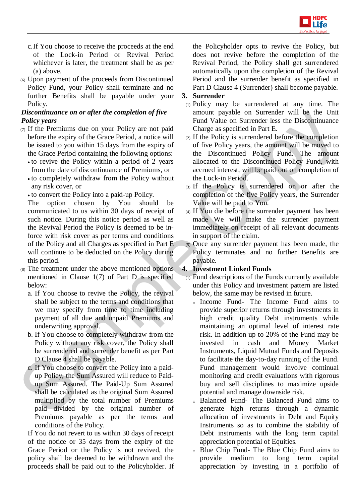

- c.If You choose to receive the proceeds at the end of the Lock-in Period or Revival Period whichever is later, the treatment shall be as per (a) above.
- (6) Upon payment of the proceeds from Discontinued Policy Fund, your Policy shall terminate and no further Benefits shall be payable under your Policy.

## *Discontinuance on or after the completion of five Policy years*

- (7) If the Premiums due on your Policy are not paid before the expiry of the Grace Period, a notice will be issued to you within 15 days from the expiry of the Grace Period containing the following options:
	- to revive the Policy within a period of 2 years from the date of discontinuance of Premiums, or
	- to completely withdraw from the Policy without any risk cover, or
	- to convert the Policy into a paid-up Policy.

The option chosen by You should be communicated to us within 30 days of receipt of such notice. During this notice period as well as the Revival Period the Policy is deemed to be inforce with risk cover as per terms and conditions of the Policy and all Charges as specified in Part E will continue to be deducted on the Policy during this period.

- (8) The treatment under the above mentioned options mentioned in Clause 1(7) of Part D is specified below:
	- a. If You choose to revive the Policy, the revival shall be subject to the terms and conditions that we may specify from time to time including payment of all due and unpaid Premiums and underwriting approval.
	- b. If You choose to completely withdraw from the Policy without any risk cover, the Policy shall be surrendered and surrender benefit as per Part D Clause 4 shall be payable.
	- c. If You choose to convert the Policy into a paidup Policy, the Sum Assured will reduce to Paidup Sum Assured. The Paid-Up Sum Assured shall be calculated as the original Sum Assured multiplied by the total number of Premiums paid divided by the original number of Premiums payable as per the terms and conditions of the Policy.

If You do not revert to us within 30 days of receipt of the notice or 35 days from the expiry of the Grace Period or the Policy is not revived, the policy shall be deemed to be withdrawn and the proceeds shall be paid out to the Policyholder. If the Policyholder opts to revive the Policy, but does not revive before the completion of the Revival Period, the Policy shall get surrendered automatically upon the completion of the Revival Period and the surrender benefit as specified in Part D Clause 4 (Surrender) shall become payable.

## **3. Surrender**

- (1) Policy may be surrendered at any time. The amount payable on Surrender will be the Unit Fund Value on Surrender less the Discontinuance Charge as specified in Part E.
- (2) If the Policy is surrendered before the completion of five Policy years, the amount will be moved to the Discontinued Policy Fund. The amount allocated to the Discontinued Policy Fund, with accrued interest, will be paid out on completion of the Lock-in Period.
- (3) If the Policy is surrendered on or after the completion of the five Policy years, the Surrender Value will be paid to You.
- (4) If You die before the surrender payment has been made We will make the surrender payment immediately on receipt of all relevant documents in support of the claim.
- (5) Once any surrender payment has been made, the Policy terminates and no further Benefits are payable.

## **4. Investment Linked Funds**

- $(1)$  Fund descriptions of the Funds currently available under this Policy and investment pattern are listed below, the same may be revised in future.
	- <sup>o</sup> Income Fund- The Income Fund aims to provide superior returns through investments in high credit quality Debt instruments while maintaining an optimal level of interest rate risk. In addition up to 20% of the Fund may be invested in cash and Money Market Instruments, Liquid Mutual Funds and Deposits to facilitate the day-to-day running of the Fund. Fund management would involve continual monitoring and credit evaluations with rigorous buy and sell disciplines to maximize upside potential and manage downside risk.
	- <sup>o</sup> Balanced Fund- The Balanced Fund aims to generate high returns through a dynamic allocation of investments in Debt and Equity Instruments so as to combine the stability of Debt instruments with the long term capital appreciation potential of Equities.
	- <sup>o</sup> Blue Chip Fund- The Blue Chip Fund aims to provide medium to long term capital appreciation by investing in a portfolio of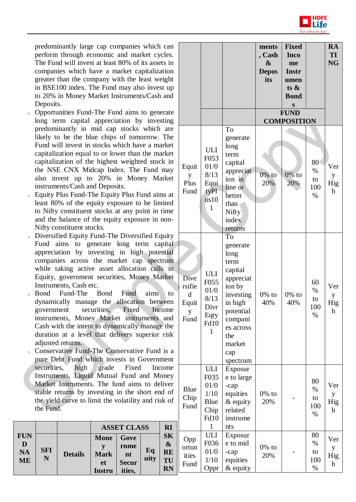

predominantly large cap companies which can perform through economic and market cycles. The Fund will invest at least 80% of its assets in companies which have a market capitalization greater than the company with the least weight in BSE100 index. The Fund may also invest up to 20% in Money Market Instruments/Cash and Deposits.

- <sup>o</sup> Opportunities Fund-The Fund aims to generate long term capital appreciation by investing predominantly in mid cap stocks which are likely to be the blue chips of tomorrow. The Fund will invest in stocks which have a market capitalization equal to or lower than the market capitalization of the highest weighted stock in the NSE CNX Midcap Index. The Fund may also invest up to 20% in Money Market instruments/Cash and Deposits.
- <sup>o</sup> Equity Plus Fund-The Equity Plus Fund aims at least 80% of the equity exposure to be limited to Nifty constituent stocks at any point in time and the balance of the equity exposure in non-Nifty constituent stocks.
- <sup>o</sup> Diversified Equity Fund-The Diversified Equity Fund aims to generate long term capital appreciation by investing in high potential companies across the market cap spectrum while taking active asset allocation calls in Equity, government securities, Money Market Instruments, Cash etc.
- <sup>o</sup> Bond Fund-The Bond Fund aims to dynamically manage the allocation between government securities, Fixed Income instruments, Money Market instruments and Cash with the intent to dynamically manage the duration at a level that delivers superior risk adjusted returns.
- Conservative Fund-The Conservative Fund is a pure Debt Fund which invests in Government securities, high grade Fixed Income Instruments, Liquid Mutual Fund and Money Market Instruments. The fund aims to deliver stable returns by investing in the short end of the yield curve to limit the volatility and risk of the Fund.

|                 |            |                |               | <b>ASSET CLASS</b> |            | <b>RI</b>                      |
|-----------------|------------|----------------|---------------|--------------------|------------|--------------------------------|
| <b>FUN</b><br>D |            |                | <b>Mone</b>   | Gove               |            | <b>SK</b><br>$\boldsymbol{\&}$ |
|                 | <b>SFI</b> |                |               | rnme               |            | RE                             |
| <b>NA</b>       | N          | <b>Details</b> | <b>Mark</b>   | nt                 | Eq<br>uity |                                |
| <b>ME</b>       |            |                | et            | <b>Secur</b>       |            | TU                             |
|                 |            |                | <b>Instru</b> | ities,             |            | <b>RN</b>                      |

|                                           |                                                                                          |                                                                                                                                                                   | ments<br>, Cash<br>&<br><b>Depos</b><br>its | <b>Fixed</b><br><b>Inco</b><br>me<br><b>Instr</b><br>umen<br>ts $\&$<br><b>Bond</b><br>S |                                 | <b>RA</b><br><b>TI</b><br><b>NG</b> |
|-------------------------------------------|------------------------------------------------------------------------------------------|-------------------------------------------------------------------------------------------------------------------------------------------------------------------|---------------------------------------------|------------------------------------------------------------------------------------------|---------------------------------|-------------------------------------|
|                                           |                                                                                          |                                                                                                                                                                   |                                             | <b>FUND</b><br><b>COMPOSITION</b>                                                        |                                 |                                     |
| Equit<br>y<br>Plus<br>Fund                | <b>ULI</b><br>F053<br>01/0<br>8/13<br>Equi<br>tyPl<br>$\overline{u}$ s10<br>$\mathbf{1}$ | To<br>generate<br>long<br>term<br>capital<br>appreciat<br>ion in<br>line or<br>better<br>than<br>Nifty<br>index<br>returns                                        | $0\%$ to<br>20%                             | $0\%$ to<br>20%                                                                          | 80<br>$\%$<br>to<br>100<br>$\%$ | Ver<br>y<br>Hig<br>h                |
| Dive<br>rsifie<br>d<br>Equit<br>y<br>Fund | ULI<br>F055<br>01/0<br>8/13<br>Divr<br>Eqty<br>Fd10<br>$\mathbf{1}$                      | To<br>generate<br>long<br>term<br>capital<br>appreciat<br>ion by<br>investing<br>in high<br>potential<br>compani<br>es across<br>the<br>market<br>cap<br>spectrum | $0\%$ to<br>40%                             | $0\%$ to<br>40%                                                                          | 60<br>$\%$<br>to<br>100<br>$\%$ | Ver<br>y<br>Hig<br>h                |
| <b>Blue</b><br>Chip<br>Fund               | ULI<br>F035<br>01/0<br>1/10<br><b>Blue</b><br>Chip<br>Fd10<br>$\mathbf{1}$               | Exposur<br>e to large<br>-cap<br>equities<br>& equity<br>related<br>instrume<br>nts                                                                               | $0\%$ to<br>20%                             |                                                                                          | 80<br>$\%$<br>to<br>100<br>$\%$ | Ver<br>y<br>Hig<br>h                |
| Opp<br>ortun<br>ities<br>Fund             | ULI<br>F036<br>01/0<br>1/10<br>Oppr                                                      | Exposur<br>e to mid<br>-cap<br>equities<br>$&$ equity                                                                                                             | $0\%$ to<br>20%                             |                                                                                          | 80<br>$\%$<br>to<br>100<br>%    | Ver<br>y<br>Hig<br>h                |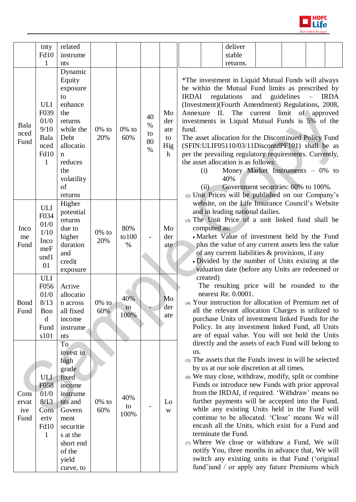

|                              | tnty                                                                   | related                                                                                                                                                            |                 |                    |                                |                                                   | deliver                                                                                                                                                                                                                                                                                                                                                                                                                                                                                                                                                                                                                                                                                                                                                                                 |
|------------------------------|------------------------------------------------------------------------|--------------------------------------------------------------------------------------------------------------------------------------------------------------------|-----------------|--------------------|--------------------------------|---------------------------------------------------|-----------------------------------------------------------------------------------------------------------------------------------------------------------------------------------------------------------------------------------------------------------------------------------------------------------------------------------------------------------------------------------------------------------------------------------------------------------------------------------------------------------------------------------------------------------------------------------------------------------------------------------------------------------------------------------------------------------------------------------------------------------------------------------------|
|                              | <b>Fd10</b>                                                            | instrume                                                                                                                                                           |                 |                    |                                |                                                   | stable                                                                                                                                                                                                                                                                                                                                                                                                                                                                                                                                                                                                                                                                                                                                                                                  |
|                              | 1                                                                      | nts                                                                                                                                                                |                 |                    |                                |                                                   | returns.                                                                                                                                                                                                                                                                                                                                                                                                                                                                                                                                                                                                                                                                                                                                                                                |
| Bala<br>nced<br>Fund         | <b>ULI</b><br>F039<br>01/0<br>9/10<br>Bala<br>nced<br><b>Fd10</b><br>1 | Dynamic<br>Equity<br>exposure<br>to<br>enhance<br>the<br>returns<br>while the<br>Debt<br>allocatio<br>n<br>reduces<br>the<br>volatility<br>of<br>returns           | $0\%$ to<br>20% | $0\%$ to<br>60%    | 40<br>$\%$<br>to<br>80<br>$\%$ | Mo<br>der<br>ate<br>to<br>Hig<br>$\boldsymbol{h}$ | *The investment in Liquid Mutual Funds will always<br>be within the Mutual Fund limits as prescribed by<br>regulations<br>and<br>guidelines<br><b>IRDAI</b><br><b>IRDA</b><br>(Investment)(Fourth Amendment) Regulations, 2008,<br>II.<br>The<br>current<br>limit of approved<br>Annexure<br>investments in Liquid Mutual Funds is 5% of the<br>fund.<br>The asset allocation for the Discontinued Policy Fund<br>(SFIN:ULIF05110/03/11DiscontdPF101) shall be as<br>per the prevailing regulatory requirements. Currently,<br>the asset allocation is as follows:<br>Money Market Instruments $-0\%$ to<br>(i)<br>40%<br>Government securities: 60% to 100%.<br>(ii)<br>(2) Unit Prices will be published on our Company's                                                             |
| Inco<br>me<br>Fund           | ULI<br>F034<br>01/0<br>1/10<br>Inco<br>meF<br>und1<br>01               | Higher<br>potential<br>returns<br>due to<br>higher<br>duration<br>and<br>credit<br>exposure                                                                        | $0\%$ to<br>20% | 80%<br>to 100<br>% |                                | Mo<br>der<br>ate                                  | website, on the Life Insurance Council's Website<br>and in leading national dailies.<br>(3) The Unit Price of a unit linked fund shall be<br>computed as:<br>• Market Value of investment held by the Fund<br>plus the value of any current assets less the value<br>of any current liabilities & provisions, if any<br>• Divided by the number of Units existing at the<br>valuation date (before any Units are redeemed or                                                                                                                                                                                                                                                                                                                                                            |
| Bond<br>Fund                 | <b>ULI</b><br>F056<br>01/0<br>8/13<br>Bon<br>d<br>Fund<br>s101         | Active<br>allocatio<br>n across<br>all fixed<br>income<br>instrume<br>nts                                                                                          | $0\%$ to<br>60% | 40%<br>w<br>100%   |                                | Mo<br>der<br>ate                                  | created)<br>The resulting price will be rounded to the<br>nearest Re. 0.0001.<br>(4) Your instruction for allocation of Premium net of<br>all the relevant allocation Charges is utilized to<br>purchase Units of investment linked Funds for the<br>Policy. In any investment linked Fund, all Units<br>are of equal value. You will not hold the Units                                                                                                                                                                                                                                                                                                                                                                                                                                |
| Cons<br>ervat<br>ive<br>Fund | ULI<br>F058<br>01/0<br>8/13<br>Cons<br>ertv<br>Fd10<br>$\mathbf{1}$    | To<br>invest in<br>high<br>grade<br>fixed<br>income<br>instrume<br>nts and<br>Govern<br>ment<br>securitie<br>s at the<br>short end<br>of the<br>yield<br>curve, to | $0\%$ to<br>60% | 40%<br>to<br>100%  |                                | Lo<br>W                                           | directly and the assets of each Fund will belong to<br>us.<br>(5) The assets that the Funds invest in will be selected<br>by us at our sole discretion at all times.<br>(6) We may close, withdraw, modify, split or combine<br>Funds or introduce new Funds with prior approval<br>from the IRDAI, if required. 'Withdraw' means no<br>further payments will be accepted into the Fund,<br>while any existing Units held in the Fund will<br>continue to be allocated. 'Close' means We will<br>encash all the Units, which exist for a Fund and<br>terminate the Fund.<br>(7) Where We close or withdraw a Fund, We will<br>notify You, three months in advance that, We will<br>switch any existing units in that Fund ('original<br>fund') and / or apply any future Premiums which |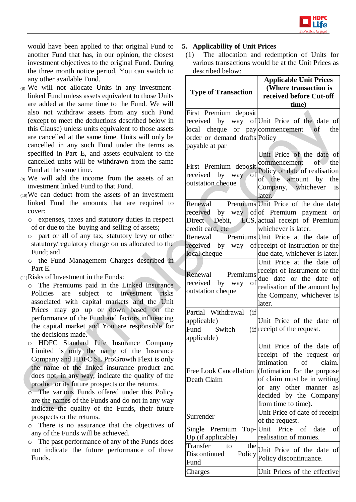

would have been applied to that original Fund to another Fund that has, in our opinion, the closest investment objectives to the original Fund. During the three month notice period, You can switch to any other available Fund.

- (8) We will not allocate Units in any investmentlinked Fund unless assets equivalent to those Units are added at the same time to the Fund. We will also not withdraw assets from any such Fund (except to meet the deductions described below in this Clause) unless units equivalent to those assets are cancelled at the same time. Units will only be cancelled in any such Fund under the terms as specified in Part E, and assets equivalent to the cancelled units will be withdrawn from the same Fund at the same time.
- (9) We will add the income from the assets of an investment linked Fund to that Fund.
- (10)We can deduct from the assets of an investment linked Fund the amounts that are required to cover:
	- o expenses, taxes and statutory duties in respect of or due to the buying and selling of assets;
	- o part or all of any tax, statutory levy or other statutory/regulatory charge on us allocated to the Fund; and
	- o the Fund Management Charges described in Part E.
- (11)Risks of Investment in the Funds:
	- o The Premiums paid in the Linked Insurance Policies are subject to investment risks associated with capital markets and the Unit Prices may go up or down based on the performance of the Fund and factors influencing the capital market and You are responsible for the decisions made.
	- o HDFC Standard Life Insurance Company Limited is only the name of the Insurance Company and HDFC SL ProGrowth Flexi is only the name of the linked insurance product and does not, in any way, indicate the quality of the product or its future prospects or the returns.
	- o The various Funds offered under this Policy are the names of the Funds and do not in any way indicate the quality of the Funds, their future prospects or the returns.
	- o There is no assurance that the objectives of any of the Funds will be achieved.
	- o The past performance of any of the Funds does not indicate the future performance of these Funds.

## **5. Applicability of Unit Prices**

(1) The allocation and redemption of Units for various transactions would be at the Unit Prices as described below:

| <b>Type of Transaction</b>                                                                                   | <b>Applicable Unit Prices</b><br>(Where transaction is<br>received before Cut-off<br>time)                                                                                                                                                                                         |
|--------------------------------------------------------------------------------------------------------------|------------------------------------------------------------------------------------------------------------------------------------------------------------------------------------------------------------------------------------------------------------------------------------|
| First Premium deposit<br>local cheque or pay commencement<br>order or demand drafts Policy<br>payable at par | received by way of Unit Price of the date of<br>$\circ$ of<br>the<br>Unit Price of the date of                                                                                                                                                                                     |
| First Premium deposit commencement<br>received by way<br>of<br>outstation cheque                             | of the<br>Policy or date of realisation<br>of the amount by the<br>Company, whichever<br><i>is</i><br>later.                                                                                                                                                                       |
| Renewal<br>Direct<br>credit card, etc<br>local cheque                                                        | Premiums Unit Price of the due date<br>received by way of of Premium payment or<br>Debit, ECS, actual receipt of Premium<br>whichever is later.<br>Renewal Premiums Unit Price at the date of<br>received by way of receipt of instruction or the<br>due date, whichever is later. |
| Renewal Premiums<br>received by way<br>of<br>outstation cheque                                               | Unit Price at the date of<br>receipt of instrument or the<br>due date or the date of<br>realisation of the amount by<br>the Company, whichever is<br>later.                                                                                                                        |
| Partial Withdrawal (if<br>applicable)<br>Fund Switch<br>applicable)                                          | Unit Price of the date of<br>(if receipt of the request.                                                                                                                                                                                                                           |
| <b>Free Look Cancellation</b><br>Death Claim                                                                 | Unit Price of the date<br>of<br>receipt of the request or<br>intimation<br>claim.<br>$\circ$ of<br>(Intimation for the purpose)<br>of claim must be in writing<br>or any other manner as<br>decided by the Company<br>from time to time).                                          |
| Surrender<br>Single Premium                                                                                  | Unit Price of date of receipt<br>of the request.<br>Top-Unit Price of<br>date<br>of                                                                                                                                                                                                |
| Up (if applicable)<br>Transfer<br>the<br>to<br>Discontinued<br>Policy<br>Fund                                | realisation of monies.<br>Unit Price of the date<br>of<br>Policy discontinuance.                                                                                                                                                                                                   |
| Charges                                                                                                      | Unit Prices of the effective                                                                                                                                                                                                                                                       |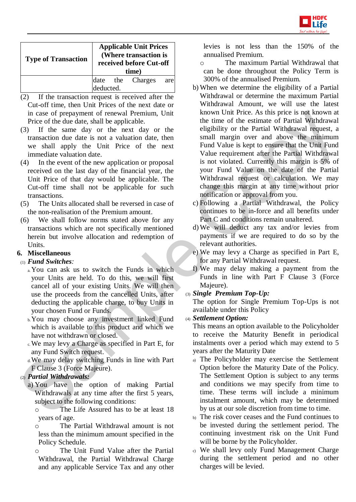

| <b>Type of Transaction</b> |           | <b>Applicable Unit Prices</b><br>(Where transaction is<br>received before Cut-off<br>time) |     |
|----------------------------|-----------|--------------------------------------------------------------------------------------------|-----|
|                            | deducted. | date the Charges                                                                           | are |

- (2) If the transaction request is received after the Cut-off time, then Unit Prices of the next date or in case of prepayment of renewal Premium, Unit Price of the due date, shall be applicable.
- (3) If the same day or the next day or the transaction due date is not a valuation date, then we shall apply the Unit Price of the next immediate valuation date.
- (4) In the event of the new application or proposal received on the last day of the financial year, the Unit Price of that day would be applicable. The Cut-off time shall not be applicable for such transactions.
- (5) The Units allocated shall be reversed in case of the non-realisation of the Premium amount.
- (6) We shall follow norms stated above for any transactions which are not specifically mentioned herein but involve allocation and redemption of Units.

# **6. Miscellaneous**

- (1) *Fund Switches:*
	- a.You can ask us to switch the Funds in which your Units are held. To do this, we will first cancel all of your existing Units. We will then use the proceeds from the cancelled Units, after deducting the applicable charge, to buy Units in your chosen Fund or Funds.
	- b.You may choose any investment linked Fund which is available to this product and which we have not withdrawn or closed.
	- c.We may levy a Charge as specified in Part E, for any Fund Switch request.
	- d.We may delay switching Funds in line with Part F Clause 3 (Force Majeure).

# (2) *Partial Withdrawals:*

- a) You have the option of making Partial Withdrawals at any time after the first 5 years, subject to the following conditions:
	- o The Life Assured has to be at least 18 years of age.
	- o The Partial Withdrawal amount is not less than the minimum amount specified in the Policy Schedule.
	- o The Unit Fund Value after the Partial Withdrawal, the Partial Withdrawal Charge and any applicable Service Tax and any other

levies is not less than the 150% of the annualised Premium.

- o The maximum Partial Withdrawal that can be done throughout the Policy Term is 300% of the annualised Premium.
- b) When we determine the eligibility of a Partial Withdrawal or determine the maximum Partial Withdrawal Amount, we will use the latest known Unit Price. As this price is not known at the time of the estimate of Partial Withdrawal eligibility or the Partial Withdrawal request, a small margin over and above the minimum Fund Value is kept to ensure that the Unit Fund Value requirement after the Partial Withdrawal is not violated. Currently this margin is 5% of your Fund Value on the date of the Partial Withdrawal request or calculation. We may change this margin at any time without prior notification or approval from you.
- c) Following a Partial Withdrawal, the Policy continues to be in-force and all benefits under Part C and conditions remain unaltered.
- d) We will deduct any tax and/or levies from payments if we are required to do so by the relevant authorities.
- e) We may levy a Charge as specified in Part E, for any Partial Withdrawal request.
- f) We may delay making a payment from the Funds in line with Part F Clause 3 (Force Majeure).
- (3) *Single Premium Top-Up:*

The option for Single Premium Top-Ups is not available under this Policy

(4) *Settlement Option:*

This means an option available to the Policyholder to receive the Maturity Benefit in periodical instalments over a period which may extend to 5 years after the Maturity Date

- a) The Policyholder may exercise the Settlement Option before the Maturity Date of the Policy. The Settlement Option is subject to any terms and conditions we may specify from time to time. These terms will include a minimum instalment amount, which may be determined by us at our sole discretion from time to time.
- b) The risk cover ceases and the Fund continues to be invested during the settlement period. The continuing investment risk on the Unit Fund will be borne by the Policyholder.
- c) We shall levy only Fund Management Charge during the settlement period and no other charges will be levied.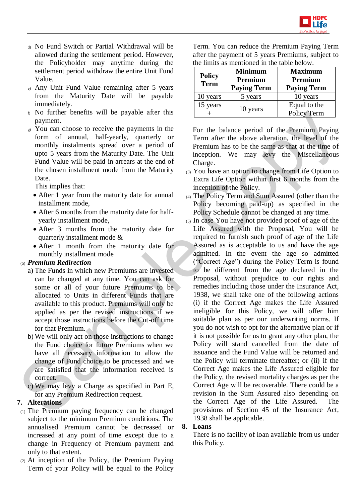

- d) No Fund Switch or Partial Withdrawal will be allowed during the settlement period. However, the Policyholder may anytime during the settlement period withdraw the entire Unit Fund Value.
- e) Any Unit Fund Value remaining after 5 years from the Maturity Date will be payable immediately.
- f) No further benefits will be payable after this payment.
- g) You can choose to receive the payments in the form of annual, half-yearly, quarterly or monthly instalments spread over a period of upto 5 years from the Maturity Date. The Unit Fund Value will be paid in arrears at the end of the chosen installment mode from the Maturity Date.

This implies that:

- After 1 year from the maturity date for annual installment mode,
- After 6 months from the maturity date for halfyearly installment mode,
- After 3 months from the maturity date for quarterly installment mode &
- After 1 month from the maturity date for monthly installment mode

## (5) *Premium Redirection*

- a) The Funds in which new Premiums are invested can be changed at any time. You can ask for some or all of your future Premiums to be allocated to Units in different Funds that are available to this product. Premiums will only be applied as per the revised instructions if we accept those instructions before the Cut-off time for that Premium.
- b) We will only act on those instructions to change the Fund choice for future Premiums when we have all necessary information to allow the change of Fund choice to be processed and we are satisfied that the information received is correct.
- c) We may levy a Charge as specified in Part E, for any Premium Redirection request.

## **7. Alterations**

- (1) The Premium paying frequency can be changed subject to the minimum Premium conditions. The annualised Premium cannot be decreased or increased at any point of time except due to a change in Frequency of Premium payment and only to that extent.
- (2) At inception of the Policy, the Premium Paying Term of your Policy will be equal to the Policy

Term. You can reduce the Premium Paying Term after the payment of 5 years Premiums, subject to the limits as mentioned in the table below.

| <b>Policy</b><br><b>Term</b> | <b>Minimum</b><br>Premium<br><b>Paying Term</b> | <b>Maximum</b><br>Premium<br><b>Paying Term</b> |
|------------------------------|-------------------------------------------------|-------------------------------------------------|
| 10 years                     | 5 years                                         | 10 years                                        |
| 15 years                     | 10 years                                        | Equal to the<br>Policy Term                     |

For the balance period of the Premium Paying Term after the above alteration, the level of the Premium has to be the same as that at the time of inception. We may levy the Miscellaneous Charge.

- (3) You have an option to change from Life Option to Extra Life Option within first 6 months from the inception of the Policy.
- (4) The Policy Term and Sum Assured (other than the Policy becoming paid-up) as specified in the Policy Schedule cannot be changed at any time.
- (5) In case You have not provided proof of age of the Life Assured with the Proposal, You will be required to furnish such proof of age of the Life Assured as is acceptable to us and have the age admitted. In the event the age so admitted ("Correct Age") during the Policy Term is found to be different from the age declared in the Proposal, without prejudice to our rights and remedies including those under the Insurance Act, 1938, we shall take one of the following actions (i) if the Correct Age makes the Life Assured ineligible for this Policy, we will offer him suitable plan as per our underwriting norms. If you do not wish to opt for the alternative plan or if it is not possible for us to grant any other plan, the Policy will stand cancelled from the date of issuance and the Fund Value will be returned and the Policy will terminate thereafter; or (ii) if the Correct Age makes the Life Assured eligible for the Policy, the revised mortality charges as per the Correct Age will be recoverable. There could be a revision in the Sum Assured also depending on the Correct Age of the Life Assured. The provisions of Section 45 of the Insurance Act, 1938 shall be applicable.

#### **8. Loans**

There is no facility of loan available from us under this Policy.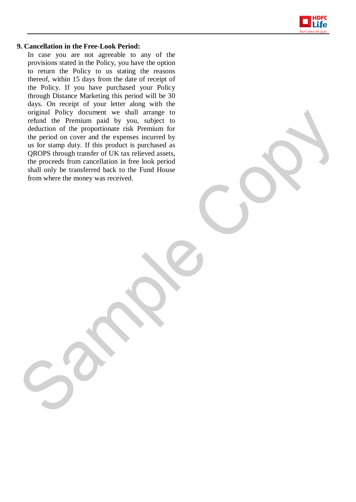

#### **9. Cancellation in the Free-Look Period:**

In case you are not agreeable to any of the provisions stated in the Policy, you have the option to return the Policy to us stating the reasons thereof, within 15 days from the date of receipt of the Policy. If you have purchased your Policy through Distance Marketing this period will be 30 days. On receipt of your letter along with the original Policy document we shall arrange to refund the Premium paid by you, subject to deduction of the proportionate risk Premium for the period on cover and the expenses incurred by us for stamp duty. If this product is purchased as QROPS through transfer of UK tax relieved assets, the proceeds from cancellation in free look period shall only be transferred back to the Fund House from where the money was received.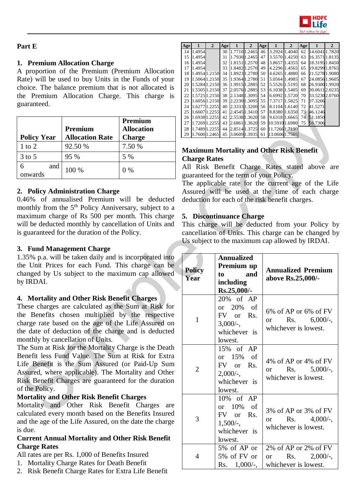

## **Part E**

## **1. Premium Allocation Charge**

A proportion of the Premium (Premium Allocation Rate) will be used to buy Units in the Funds of your choice. The balance premium that is not allocated is the Premium Allocation Charge. This charge is guaranteed.

| <b>Policy Year</b> | Premium<br><b>Allocation Rate</b> | Premium<br><b>Allocation</b><br><b>Charge</b> |
|--------------------|-----------------------------------|-----------------------------------------------|
| $1$ to $2$         | 92.50 %                           | 7.50 %                                        |
| $3$ to 5           | 95 %                              | 5 %                                           |
| and<br>onwards     | 100 %                             | $0\%$                                         |

## **2. Policy Administration Charge**

0.46% of annualised Premium will be deducted monthly from the 5<sup>th</sup> Policy Anniversary, subject to a maximum charge of Rs 500 per month. This charge will be deducted monthly by cancellation of Units and is guaranteed for the duration of the Policy.

### **3. Fund Management Charge**

1.35% p.a. will be taken daily and is incorporated into the Unit Prices for each Fund. This charge can be changed by Us subject to the maximum cap allowed by IRDAI.

## **4. Mortality and Other Risk Benefit Charges**

These charges are calculated as the Sum at Risk for the Benefits chosen multiplied by the respective charge rate based on the age of the Life Assured on the date of deduction of the charge and is deducted monthly by cancellation of Units.

The Sum at Risk for the Mortality Charge is the Death Benefit less Fund Value. The Sum at Risk for Extra Life Benefit is the Sum Assured (or Paid-Up Sum Assured, where applicable). The Mortality and Other Risk Benefit Charges are guaranteed for the duration of the Policy.

## **Mortality and Other Risk Benefit Charges**

Mortality and Other Risk Benefit Charges are calculated every month based on the Benefits Insured and the age of the Life Assured, on the date the charge is due.

#### **Current Annual Mortality and Other Risk Benefit Charge Rates**

All rates are per Rs. 1,000 of Benefits Insured

- 1. Mortality Charge Rates for Death Benefit
- 2. Risk Benefit Charge Rates for Extra Life Benefit

| Age |               | $\mathbf{2}$  | Age |               | $\mathbf{2}$  | Age | 1             | 2 | Age |                | $\mathbf{2}$ |
|-----|---------------|---------------|-----|---------------|---------------|-----|---------------|---|-----|----------------|--------------|
| 14  | 1.4954        |               | 30  |               | 1.7710 1.2465 | 46  | 3.2924 1.4040 |   | 62  | 14.6041 1.7820 |              |
| 15  | 1.4954        |               | 31  |               | 1.7930 1.2465 | 47  | 3.5570 1.4250 |   | 63  | 16.35711.8135  |              |
| 16  | 1.4954        |               | 32  | 1.81511.2570  |               | 48  | 3.8657 1.4355 |   | 64  | 18.31951.8450  |              |
| 17  | 1.4954        |               | 33  |               | 1.84821.2570  | 49  | 4.2296 1.4565 |   | 65  | 19.82991.8765  |              |
| 18  | 1.4954 1.2150 |               | 34  | 1.8923 1.2780 |               | 50  | 4.6265 1.4880 |   | 66  | 21.52781.9080  |              |
| 19  |               | 1.50641.2150  | 35  |               | 1.93641.2780  | 51  | 5.0564 1.4985 |   | 67  | 24.08561.9605  |              |
| 20  |               | 1.52841.2150  | 36  | 1.9915 1.2885 |               | 52  | 5.5526 1.5195 |   | 68  | 26.93001.9920  |              |
| 21  |               | 1.5505 1.2150 | 37  | 2.0576 1.2885 |               | 53  | 6.1038 1.5405 |   | 69  | 30.06112.0235  |              |
| 22  |               | 1.57251.2150  | 38  | 2.1348 1.3095 |               | 54  | 6.6992 1.5720 |   | 70  | 33.5230 2.0760 |              |
| 23  |               | 1.6056 1.2150 | 39  | 2.2230 1.3095 |               | 55  | 7.3717 1.5825 |   | 71  | 37.3266        |              |
| 24  |               | 1.62771.2255  | 40  | 2.33331.3200  |               | 56  | 8.1104 1.6140 |   | 72  | 41.5271        |              |
| 25  |               | 1.6607 1.2255 | 41  | 2.45451.3410  |               | 57  | 8.8380 1.6350 |   | 73  | 46.1246        |              |
| 26  | 1.6938 1.2255 |               | 42  | 2.5538 1.3620 |               | 58  | 9.6318 1.6665 |   | 74  | 51.1850        |              |
| 27  | 1.7269 1.2255 |               | 43  | 2.68611.3620  |               | 59  | 10.59101.6980 |   | 75  | 56.7306        |              |
| 28  |               | 1.7489 1.2255 | 44  | 2.8514 1.3725 |               | 60  | 11.72661.7190 |   |     |                |              |
| 29  |               | 1.7600 1.2465 | 45  | 3.0609 1.3935 |               | 61  | 13.06061.7505 |   |     |                |              |

## **Maximum Mortality and Other Risk Benefit Charge Rates**

All Risk Benefit Charge Rates stated above are guaranteed for the term of your Policy.

The applicable rate for the current age of the Life Assured will be used at the time of each charge deduction for each of the risk benefit charges.

## **5. Discontinuance Charge**

This charge will be deducted from your Policy by cancellation of Units. This charge can be changed by Us subject to the maximum cap allowed by IRDAI.

| <b>Policy</b><br>Year | <b>Annualized</b><br>Premium up<br><b>and</b><br>to<br>including<br>Rs.25,000/-  | <b>Annualized Premium</b><br>above Rs.25,000/-                                    |
|-----------------------|----------------------------------------------------------------------------------|-----------------------------------------------------------------------------------|
| $\mathbf{1}$          | 20% of AP<br>or 20% of<br>FV or Rs.<br>$3,000/$ -,<br>whichever is<br>lowest.    | $6\%$ of AP or $6\%$ of FV<br>or Rs. $6,000/$ -<br>whichever is lowest.           |
| $\overline{2}$        | 15% of AP<br>or $15\%$ of<br>FV or Rs.<br>$2,000/$ -,<br>whichever is<br>lowest. | $4\%$ of AP or $4\%$ of FV<br>Rs. $5,000/$ -,<br>$\alpha$<br>whichever is lowest. |
| 3                     | 10% of AP<br>or 10% of<br>FV or Rs.<br>$1,500/$ -,<br>whichever is<br>lowest.    | 3% of AP or 3% of FV<br>or Rs. $4,000/$ -,<br>whichever is lowest.                |
| 4                     | 5% of AP or<br>5% of FV or<br>Rs. $1,000/$ -,                                    | 2% of AP or 2% of FV<br>Rs. $2,000/$ -,<br>or<br>whichever is lowest.             |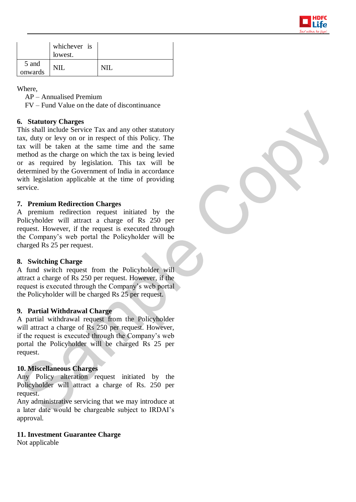

|                  | whichever is<br>lowest. |  |
|------------------|-------------------------|--|
| 5 and<br>onwards |                         |  |

Where,

AP – Annualised Premium

FV – Fund Value on the date of discontinuance

### **6. Statutory Charges**

This shall include Service Tax and any other statutory tax, duty or levy on or in respect of this Policy. The tax will be taken at the same time and the same method as the charge on which the tax is being levied or as required by legislation. This tax will be determined by the Government of India in accordance with legislation applicable at the time of providing service.

## **7. Premium Redirection Charges**

A premium redirection request initiated by the Policyholder will attract a charge of Rs 250 per request. However, if the request is executed through the Company's web portal the Policyholder will be charged Rs 25 per request.

#### **8. Switching Charge**

A fund switch request from the Policyholder will attract a charge of Rs 250 per request. However, if the request is executed through the Company's web portal the Policyholder will be charged Rs 25 per request.

#### **9. Partial Withdrawal Charge**

A partial withdrawal request from the Policyholder will attract a charge of Rs 250 per request. However, if the request is executed through the Company's web portal the Policyholder will be charged Rs 25 per request.

### **10. Miscellaneous Charges**

Any Policy alteration request initiated by the Policyholder will attract a charge of Rs. 250 per request.

Any administrative servicing that we may introduce at a later date would be chargeable subject to IRDAI's approval.

#### **11. Investment Guarantee Charge**

Not applicable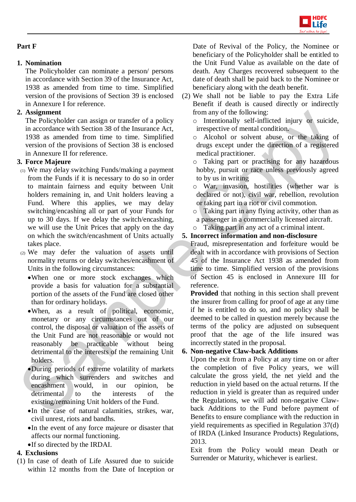

# **Part F**

# **1. Nomination**

The Policyholder can nominate a person/ persons in accordance with Section 39 of the Insurance Act, 1938 as amended from time to time. Simplified version of the provisions of Section 39 is enclosed in Annexure I for reference.

# **2. Assignment**

The Policyholder can assign or transfer of a policy in accordance with Section 38 of the Insurance Act, 1938 as amended from time to time. Simplified version of the provisions of Section 38 is enclosed in Annexure II for reference.

# **3. Force Majeure**

- (1) We may delay switching Funds/making a payment from the Funds if it is necessary to do so in order to maintain fairness and equity between Unit holders remaining in, and Unit holders leaving a Fund. Where this applies, we may delay switching/encashing all or part of your Funds for up to 30 days. If we delay the switch/encashing, we will use the Unit Prices that apply on the day on which the switch/encashment of Units actually takes place.
- (2) We may defer the valuation of assets until normality returns or delay switches/encashment of Units in the following circumstances:
	- When one or more stock exchanges which provide a basis for valuation for a substantial portion of the assets of the Fund are closed other than for ordinary holidays.
	- When, as a result of political, economic, monetary or any circumstances out of our control, the disposal or valuation of the assets of the Unit Fund are not reasonable or would not reasonably be practicable without being detrimental to the interests of the remaining Unit holders.
	- During periods of extreme volatility of markets during which surrenders and switches and encashment would, in our opinion, be detrimental to the interests of the existing/remaining Unit holders of the Fund.
	- In the case of natural calamities, strikes, war, civil unrest, riots and bandhs.
	- In the event of any force majeure or disaster that affects our normal functioning. If so directed by the IRDAI.

# **4. Exclusions**

(1) In case of death of Life Assured due to suicide within 12 months from the Date of Inception or Date of Revival of the Policy, the Nominee or beneficiary of the Policyholder shall be entitled to the Unit Fund Value as available on the date of death. Any Charges recovered subsequent to the date of death shall be paid back to the Nominee or beneficiary along with the death benefit.

- (2) We shall not be liable to pay the Extra Life Benefit if death is caused directly or indirectly from any of the following:
	- o Intentionally self-inflicted injury or suicide, irrespective of mental condition.
	- o Alcohol or solvent abuse, or the taking of drugs except under the direction of a registered medical practitioner.
	- o Taking part or practising for any hazardous hobby, pursuit or race unless previously agreed to by us in writing
	- o War, invasion, hostilities (whether war is declared or not), civil war, rebellion, revolution or taking part in a riot or civil commotion.
	- o Taking part in any flying activity, other than as
	- a passenger in a commercially licensed aircraft.
	- o Taking part in any act of a criminal intent.

# **5. Incorrect information and non-disclosure**

Fraud, misrepresentation and forfeiture would be dealt with in accordance with provisions of Section 45 of the Insurance Act 1938 as amended from time to time. Simplified version of the provisions of Section 45 is enclosed in Annexure III for reference.

**Provided** that nothing in this section shall prevent the insurer from calling for proof of age at any time if he is entitled to do so, and no policy shall be deemed to be called in question merely because the terms of the policy are adjusted on subsequent proof that the age of the life insured was incorrectly stated in the proposal.

# **6. Non-negative Claw-back Additions**

Upon the exit from a Policy at any time on or after the completion of five Policy years, we will calculate the gross yield, the net yield and the reduction in yield based on the actual returns. If the reduction in yield is greater than as required under the Regulations, we will add non-negative Clawback Additions to the Fund before payment of Benefits to ensure compliance with the reduction in yield requirements as specified in Regulation 37(d) of IRDA (Linked Insurance Products) Regulations, 2013.

Exit from the Policy would mean Death or Surrender or Maturity, whichever is earliest.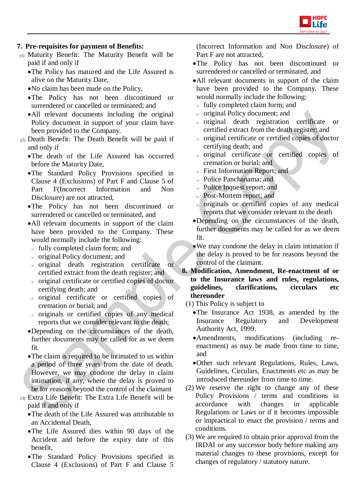

## **7. Pre-requisites for payment of Benefits:**

- (1) Maturity Benefit: The Maturity Benefit will be paid if and only if
	- The Policy has matured and the Life Assured is alive on the Maturity Date,
	- No claim has been made on the Policy,
	- The Policy has not been discontinued or surrendered or cancelled or terminated; and
	- All relevant documents including the original Policy document in support of your claim have been provided to the Company.
- (2) Death Benefit: The Death Benefit will be paid if and only if
	- The death of the Life Assured has occurred before the Maturity Date,
	- The Standard Policy Provisions specified in Clause 4 (Exclusions) of Part F and Clause 5 of Part F(Incorrect Information and Non Disclosure) are not attracted,
	- The Policy has not been discontinued or surrendered or cancelled or terminated, and
	- All relevant documents in support of the claim have been provided to the Company. These would normally include the following:
	- <sup>o</sup> fully completed claim form; and
	- <sup>o</sup> original Policy document; and
	- <sup>o</sup> original death registration certificate or certified extract from the death register; and
	- <sup>o</sup> original certificate or certified copies of doctor certifying death; and
	- <sup>o</sup> original certificate or certified copies of cremation or burial; and
	- <sup>o</sup> originals or certified copies of any medical reports that we consider relevant to the death;
	- Depending on the circumstances of the death, further documents may be called for as we deem fit.
	- The claim is required to be intimated to us within a period of three years from the date of death. However, we may condone the delay in claim intimation, if any, where the delay is proved to be for reasons beyond the control of the claimant
- (3) Extra Life Benefit: The Extra Life Benefit will be paid if and only if
	- The death of the Life Assured was attributable to an Accidental Death,
	- The Life Assured dies within 90 days of the Accident and before the expiry date of this benefit,
	- The Standard Policy Provisions specified in Clause 4 (Exclusions) of Part F and Clause 5

(Incorrect Information and Non Disclosure) of Part F are not attracted,

- The Policy has not been discontinued or surrendered or cancelled or terminated, and
- All relevant documents in support of the claim have been provided to the Company. These would normally include the following:
- <sup>o</sup> fully completed claim form; and
- <sup>o</sup> original Policy document; and
- <sup>o</sup> original death registration certificate or certified extract from the death register; and
- <sup>o</sup> original certificate or certified copies of doctor certifying death; and
- <sup>o</sup> original certificate or certified copies of cremation or burial; and
- <sup>o</sup> First Information Report; and
- <sup>o</sup> Police Panchanama; and
- <sup>o</sup> Police Inquest report; and
- <sup>o</sup> Post-Mortem report; and
- <sup>o</sup> originals or certified copies of any medical reports that we consider relevant to the death
- Depending on the circumstances of the death, further documents may be called for as we deem fit.
- We may condone the delay in claim intimation if the delay is proved to be for reasons beyond the control of the claimant.
- **8. Modification, Amendment, Re-enactment of or to the Insurance laws and rules, regulations, guidelines, clarifications, circulars etc thereunder**
	- (1) This Policy is subject to
		- The Insurance Act 1938, as amended by the Insurance Regulatory and Development Authority Act, 1999.
		- Amendments, modifications (including reenactment) as may be made from time to time, and
		- Other such relevant Regulations, Rules, Laws, Guidelines, Circulars, Enactments etc as may be introduced thereunder from time to time.
	- (2) We reserve the right to change any of these Policy Provisions / terms and conditions in accordance with changes in applicable Regulations or Laws or if it becomes impossible or impractical to enact the provision / terms and conditions.
	- (3) We are required to obtain prior approval from the IRDAI or any successor body before making any material changes to these provisions, except for changes of regulatory / statutory nature.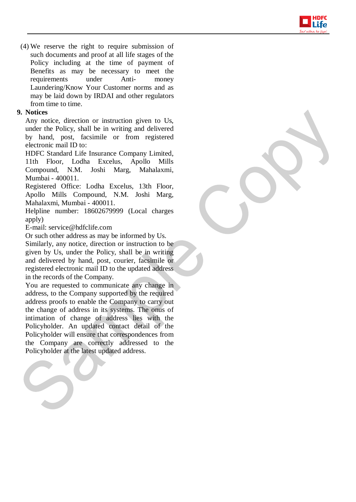

(4) We reserve the right to require submission of such documents and proof at all life stages of the Policy including at the time of payment of Benefits as may be necessary to meet the requirements under Anti- money Laundering/Know Your Customer norms and as may be laid down by IRDAI and other regulators from time to time.

## **9. Notices**

Any notice, direction or instruction given to Us, under the Policy, shall be in writing and delivered by hand, post, facsimile or from registered electronic mail ID to:

HDFC Standard Life Insurance Company Limited, 11th Floor, Lodha Excelus, Apollo Mills Compound, N.M. Joshi Marg, Mahalaxmi, Mumbai - 400011.

Registered Office: Lodha Excelus, 13th Floor, Apollo Mills Compound, N.M. Joshi Marg, Mahalaxmi, Mumbai - 400011.

Helpline number: 18602679999 (Local charges apply)

E-mail: service@hdfclife.com

Or such other address as may be informed by Us. Similarly, any notice, direction or instruction to be given by Us, under the Policy, shall be in writing and delivered by hand, post, courier, facsimile or registered electronic mail ID to the updated address in the records of the Company.

You are requested to communicate any change in address, to the Company supported by the required address proofs to enable the Company to carry out the change of address in its systems. The onus of intimation of change of address lies with the Policyholder. An updated contact detail of the Policyholder will ensure that correspondences from the Company are correctly addressed to the Policyholder at the latest updated address.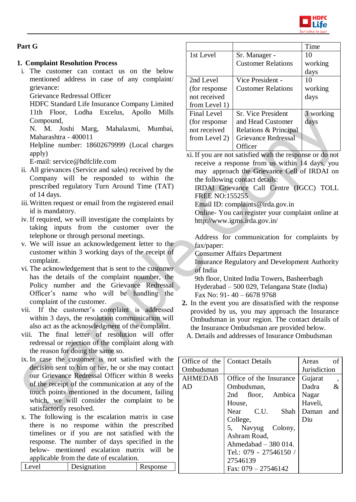

## **Part G**

## **1. Complaint Resolution Process**

i. The customer can contact us on the below mentioned address in case of any complaint/ grievance:

Grievance Redressal Officer

HDFC Standard Life Insurance Company Limited 11th Floor, Lodha Excelus, Apollo Mills Compound,

N. M. Joshi Marg, Mahalaxmi, Mumbai, Maharashtra - 400011

Helpline number: 18602679999 (Local charges apply)

E-mail: service@hdfclife.com

- ii. All grievances (Service and sales) received by the Company will be responded to within the prescribed regulatory Turn Around Time (TAT) of 14 days.
- iii.Written request or email from the registered email id is mandatory.
- iv. If required, we will investigate the complaints by taking inputs from the customer over the telephone or through personal meetings.
- v. We will issue an acknowledgement letter to the customer within 3 working days of the receipt of complaint.
- vi. The acknowledgement that is sent to the customer has the details of the complaint noumber, the Policy number and the Grievance Redressal Officer's name who will be handling the complaint of the customer.
- vii. If the customer's complaint is addressed within 3 days, the resolution communication will also act as the acknowledgment of the complaint.
- viii. The final letter of resolution will offer redressal or rejection of the complaint along with the reason for doing the same so.
- ix. In case the customer is not satisfied with the decision sent to him or her, he or she may contact our Grievance Redressal Officer within 8 weeks of the receipt of the communication at any of the touch points mentioned in the document, failing which, we will consider the complaint to be satisfactorily resolved.
- x. The following is the escalation matrix in case there is no response within the prescribed timelines or if you are not satisfied with the response. The number of days specified in the below- mentioned escalation matrix will be applicable from the date of escalation.

| Level | Designation | Response |
|-------|-------------|----------|

|                    |                           | Time      |
|--------------------|---------------------------|-----------|
| 1st Level          | Sr. Manager -             | 10        |
|                    | <b>Customer Relations</b> | working   |
|                    |                           | days      |
| 2nd Level          | Vice President -          | 10        |
| (for response)     | <b>Customer Relations</b> | working   |
| not received       |                           | days      |
| from Level 1)      |                           |           |
| <b>Final Level</b> | <b>Sr. Vice President</b> | 3 working |
| (for response)     | and Head Customer         | days      |
| not received       | Relations & Principal     |           |
| from Level 2)      | Grievance Redressal       |           |
|                    | Officer                   |           |

xi. If you are not satisfied with the response or do not receive a response from us within 14 days, you may approach the Grievance Cell of IRDAI on the following contact details:

IRDAI Grievance Call Centre (IGCC) TOLL FREE NO:155255

Email ID: complaints@irda.gov.in

Online- You can register your complaint online at http://www.igms.irda.gov.in/

Address for communication for complaints by fax/paper:

Consumer Affairs Department

Insurance Regulatory and Development Authority of India

9th floor, United India Towers, Basheerbagh Hyderabad – 500 029, Telangana State (India) Fax No: 91- 40 – 6678 9768

- **2.** In the event you are dissatisfied with the response provided by us, you may approach the Insurance Ombudsman in your region. The contact details of the Insurance Ombudsman are provided below.
	- A. Details and addresses of Insurance Ombudsman

|                | Office of the Contact Details | Areas<br>of                         |
|----------------|-------------------------------|-------------------------------------|
| Ombudsman      |                               | <b>Jurisdiction</b>                 |
| <b>AHMEDAB</b> | Office of the Insurance       | Gujarat<br>$\overline{\phantom{a}}$ |
| AD             | Ombudsman,                    | $\&$<br>Dadra                       |
|                | 2nd floor, Ambica             | Nagar                               |
|                | House,                        | Haveli,                             |
|                | C.U.<br>Shah<br>Near          | Daman<br>and                        |
|                | College,                      | Diu                                 |
|                | 5, Navyug Colony,             |                                     |
|                | Ashram Road,                  |                                     |
|                | Ahmedabad $-380014$ .         |                                     |
|                | Tel.: 079 - 27546150 /        |                                     |
|                | 27546139                      |                                     |
|                | Fax: $079 - 27546142$         |                                     |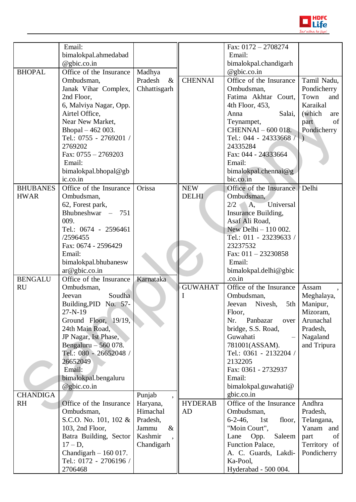

|                 | Email:                  |                 |                | Fax: $0172 - 2708274$       |                |
|-----------------|-------------------------|-----------------|----------------|-----------------------------|----------------|
|                 |                         |                 |                | Email:                      |                |
|                 | bimalokpal.ahmedabad    |                 |                |                             |                |
|                 | @gbic.co.in             |                 |                | bimalokpal.chandigarh       |                |
| <b>BHOPAL</b>   | Office of the Insurance | Madhya          |                | @gbic.co.in                 |                |
|                 | Ombudsman,              | Pradesh<br>$\&$ | <b>CHENNAI</b> | Office of the Insurance     | Tamil Nadu,    |
|                 | Janak Vihar Complex,    | Chhattisgarh    |                | Ombudsman,                  | Pondicherry    |
|                 | 2nd Floor,              |                 |                | Fatima Akhtar Court,        | Town<br>and    |
|                 | 6, Malviya Nagar, Opp.  |                 |                | 4th Floor, 453,             | Karaikal       |
|                 | Airtel Office,          |                 |                | Salai,<br>Anna              | (which<br>are  |
|                 | Near New Market,        |                 |                | Teynampet,                  | of<br>part     |
|                 | Bhopal - 462 003.       |                 |                | CHENNAI - 600 018.          | Pondicherry    |
|                 | Tel.: 0755 - 2769201 /  |                 |                | Tel.: 044 - 24333668        | $\lambda$      |
|                 | 2769202                 |                 |                | 24335284                    |                |
|                 | Fax: $0755 - 2769203$   |                 |                | Fax: 044 - 24333664         |                |
|                 | Email:                  |                 |                | Email:                      |                |
|                 | bimalokpal.bhopal@gb    |                 |                | bimalokpal.chennai@g        |                |
|                 | ic.co.in                |                 |                | bic.co.in                   |                |
| <b>BHUBANES</b> | Office of the Insurance | Orissa          | <b>NEW</b>     | Office of the Insurance     | Delhi          |
| <b>HWAR</b>     | Ombudsman,              |                 | <b>DELHI</b>   | Ombudsman,                  |                |
|                 | 62, Forest park,        |                 |                | 2/2<br>A,<br>Universal      |                |
|                 | Bhubneshwar $-751$      |                 |                | Insurance Building,         |                |
|                 | 009.                    |                 |                | Asaf Ali Road,              |                |
|                 | Tel.: 0674 - 2596461    |                 |                | New Delhi - 110 002.        |                |
|                 | /2596455                |                 |                | Tel.: 011 - 23239633 /      |                |
|                 | Fax: 0674 - 2596429     |                 |                | 23237532                    |                |
|                 | Email:                  |                 |                | Fax: $011 - 23230858$       |                |
|                 | bimalokpal.bhubanesw    |                 |                | Email:                      |                |
|                 | ar@gbic.co.in           |                 |                | bimalokpal.delhi@gbic       |                |
| <b>BENGALU</b>  | Office of the Insurance | Karnataka       |                | .co.in                      |                |
| <b>RU</b>       | Ombudsman,              |                 | <b>GUWAHAT</b> | Office of the Insurance     | Assam          |
|                 | Soudha<br>Jeevan        |                 |                | Ombudsman,                  | Meghalaya,     |
|                 | Building, PID No. 57-   |                 |                | Jeevan<br>Nivesh,           | 5th   Manipur, |
|                 | $27 - N - 19$           |                 |                | Floor,                      | Mizoram,       |
|                 | Ground Floor, 19/19,    |                 |                | Nr.<br>Panbazar<br>over     | Arunachal      |
|                 | 24th Main Road,         |                 |                | bridge, S.S. Road,          | Pradesh,       |
|                 | JP Nagar, Ist Phase,    |                 |                | Guwahati                    | Nagaland       |
|                 | Bengaluru $-560078$ .   |                 |                | 781001(ASSAM).              | and Tripura    |
|                 | Tel.: 080 - 26652048 /  |                 |                | Tel.: 0361 - 2132204 /      |                |
|                 | 26652049                |                 |                | 2132205                     |                |
|                 | Email:                  |                 |                | Fax: 0361 - 2732937         |                |
|                 | bimalokpal.bengaluru    |                 |                | Email:                      |                |
|                 | $@$ gbic.co.in          |                 |                | bimalokpal.guwahati@        |                |
| <b>CHANDIGA</b> |                         | Punjab          |                | gbic.co.in                  |                |
| <b>RH</b>       | Office of the Insurance | Haryana,        | <b>HYDERAB</b> | Office of the Insurance     | Andhra         |
|                 | Ombudsman,              | Himachal        | AD             | Ombudsman,                  | Pradesh,       |
|                 | S.C.O. No. 101, 102 &   | Pradesh,        |                | $6-2-46$ ,<br>1st<br>floor, | Telangana,     |
|                 | 103, 2nd Floor,         | Jammu<br>$\&$   |                | "Moin Court",               | Yanam and      |
|                 | Batra Building, Sector  | Kashmir         |                | Saleem<br>Lane<br>Opp.      | of<br>part     |
|                 | $17 - D$ ,              | Chandigarh      |                | Function Palace,            | Territory of   |
|                 | Chandigarh $-160017$ .  |                 |                | A. C. Guards, Lakdi-        | Pondicherry    |
|                 | Tel.: 0172 - 2706196 /  |                 |                | Ka-Pool,                    |                |
|                 | 2706468                 |                 |                | Hyderabad - 500 004.        |                |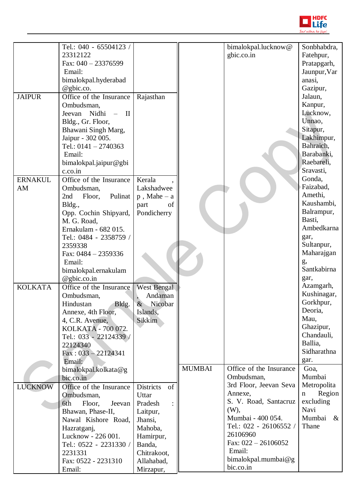

|                | Tel.: 040 - 65504123 /      |                               |               | bimalokpal.lucknow@     | Sonbhabdra,            |
|----------------|-----------------------------|-------------------------------|---------------|-------------------------|------------------------|
|                | 23312122                    |                               |               | gbic.co.in              | Fatehpur,              |
|                | Fax: $040 - 23376599$       |                               |               |                         | Pratapgarh,            |
|                | Email:                      |                               |               |                         | Jaunpur, Var           |
|                | bimalokpal.hyderabad        |                               |               |                         | anasi,                 |
|                | @gbic.co.                   |                               |               |                         | Gazipur,               |
| <b>JAIPUR</b>  | Office of the Insurance     | Rajasthan                     |               |                         | Jalaun,                |
|                | Ombudsman,                  |                               |               |                         | Kanpur,                |
|                | Nidhi - II<br>Jeevan        |                               |               |                         | Lucknow,               |
|                | Bldg., Gr. Floor,           |                               |               |                         | Unnao,                 |
|                | Bhawani Singh Marg,         |                               |               |                         | Sitapur,               |
|                | Jaipur - 302 005.           |                               |               |                         | Lakhimpur,             |
|                | Tel.: $0141 - 2740363$      |                               |               |                         | Bahraich,              |
|                | Email:                      |                               |               |                         | Barabanki,             |
|                | bimalokpal.jaipur@gbi       |                               |               |                         | Raebareli,             |
|                | c.co.in                     |                               |               |                         | Sravasti,              |
| <b>ERNAKUL</b> | Office of the Insurance     | Kerala                        |               |                         | Gonda,                 |
| AM             | Ombudsman,                  | Lakshadwee                    |               |                         | Faizabad,              |
|                | Pulinat<br>Floor,<br>2nd    | $p$ , Mahe – a                |               |                         | Amethi,                |
|                | Bldg.,                      | part<br>of                    |               |                         | Kaushambi,             |
|                | Opp. Cochin Shipyard,       | Pondicherry                   |               |                         | Balrampur,             |
|                | M. G. Road,                 |                               |               |                         | Basti,                 |
|                | Ernakulam - 682 015.        |                               |               |                         | Ambedkarna             |
|                | Tel.: 0484 - 2358759 /      |                               |               |                         | gar,                   |
|                | 2359338                     |                               |               |                         | Sultanpur,             |
|                | Fax: 0484 - 2359336         |                               |               |                         | Maharajgan             |
|                | Email:                      |                               |               |                         | g,<br>Santkabirna      |
|                | bimalokpal.ernakulam        |                               |               |                         |                        |
|                | @gbic.co.in                 |                               |               |                         | gar,<br>Azamgarh,      |
| <b>KOLKATA</b> | Office of the Insurance     | <b>West Bengal</b><br>Andaman |               |                         | Kushinagar,            |
|                | Ombudsman,<br>Hindustan     | Nicobar<br>$\&$               |               |                         | Gorkhpur,              |
|                | Bldg.<br>Annexe, 4th Floor, | Islands,                      |               |                         | Deoria,                |
|                | 4, C.R. Avenue,             | Sikkim                        |               |                         | Mau,                   |
|                | KOLKATA - 700 072.          |                               |               |                         | Ghazipur,              |
|                | Tel.: 033 - 22124339 /      |                               |               |                         | Chandauli,             |
|                | 22124340                    |                               |               |                         | Ballia,                |
|                | $Fax: 033 - 22124341$       |                               |               |                         | Sidharathna            |
|                | Email:                      |                               |               |                         | gar.                   |
|                | bimalokpal.kolkata@g        |                               | <b>MUMBAI</b> | Office of the Insurance | Goa,                   |
|                | bic.co.in                   |                               |               | Ombudsman,              | Mumbai                 |
| <b>LUCKNOW</b> | Office of the Insurance     | <b>Districts</b><br>of        |               | 3rd Floor, Jeevan Seva  | Metropolita            |
|                | Ombudsman,                  | Uttar                         |               | Annexe,                 | Region<br>$\mathbf{n}$ |
|                | Jeevan<br>6th<br>Floor,     | Pradesh<br>$\ddot{\cdot}$     |               | S. V. Road, Santacruz   | excluding              |
|                | Bhawan, Phase-II,           | Laitpur,                      |               | (W),                    | Navi                   |
|                | Nawal Kishore Road,         | Jhansi,                       |               | Mumbai - 400 054.       | Mumbai<br>$\&$         |
|                | Hazratganj,                 | Mahoba,                       |               | Tel.: 022 - 26106552 /  | Thane                  |
|                | Lucknow - 226 001.          | Hamirpur,                     |               | 26106960                |                        |
|                | Tel.: 0522 - 2231330 /      | Banda,                        |               | Fax: $022 - 26106052$   |                        |
|                | 2231331                     | Chitrakoot,                   |               | Email:                  |                        |
|                | Fax: 0522 - 2231310         | Allahabad,                    |               | bimalokpal.mumbai@g     |                        |
|                | Email:                      | Mirzapur,                     |               | bic.co.in               |                        |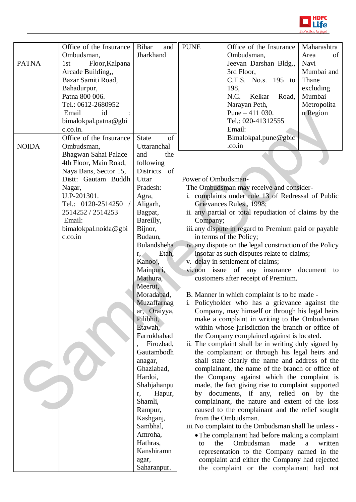

|              | Office of the Insurance | <b>Bihar</b><br>and         | <b>PUNE</b>         | Office of the Insurance                                                                               | Maharashtra  |
|--------------|-------------------------|-----------------------------|---------------------|-------------------------------------------------------------------------------------------------------|--------------|
|              | Ombudsman,              | Jharkhand                   |                     | Ombudsman,                                                                                            | of<br>Area   |
| <b>PATNA</b> | Floor, Kalpana<br>1st   |                             |                     | Jeevan Darshan Bldg.,                                                                                 | Navi         |
|              | Arcade Building,,       |                             |                     | 3rd Floor,                                                                                            | Mumbai and   |
|              | Bazar Samiti Road,      |                             |                     | C.T.S. No.s. 195 to                                                                                   | Thane        |
|              | Bahadurpur,             |                             |                     | 198,                                                                                                  | excluding    |
|              | Patna 800 006.          |                             |                     | N.C.<br>Kelkar<br>Road,                                                                               | Mumbai       |
|              | Tel.: 0612-2680952      |                             |                     | Narayan Peth,                                                                                         | Metropolita  |
|              | Email<br>id             |                             |                     | Pune $-411$ 030.                                                                                      | n Region     |
|              | bimalokpal.patna@gbi    |                             |                     | Tel.: 020-41312555                                                                                    |              |
|              | c.co.in.                |                             |                     | Email:                                                                                                |              |
|              | Office of the Insurance | <b>State</b><br>of          |                     | Bimalokpal.pune@gbic                                                                                  |              |
| <b>NOIDA</b> | Ombudsman,              | Uttaranchal                 |                     | .co.in                                                                                                |              |
|              | Bhagwan Sahai Palace    | and<br>the                  |                     |                                                                                                       |              |
|              | 4th Floor, Main Road,   | following                   |                     |                                                                                                       |              |
|              | Naya Bans, Sector 15,   | Districts of                |                     |                                                                                                       |              |
|              | Distt: Gautam Buddh     | Uttar                       | Power of Ombudsman- |                                                                                                       |              |
|              | Nagar,                  | Pradesh:                    |                     | The Ombudsman may receive and consider-                                                               |              |
|              | U.P-201301.             | Agra,                       |                     | i. complaints under rule 13 of Redressal of Public                                                    |              |
|              | Tel.: 0120-2514250 /    | Aligarh,                    |                     | Grievances Rules, 1998;                                                                               |              |
|              | 2514252 / 2514253       | Bagpat,                     |                     | ii. any partial or total repudiation of claims by the                                                 |              |
|              | Email:                  | Bareilly,                   | Company;            |                                                                                                       |              |
|              | bimalokpal.noida@gbi    | Bijnor,                     |                     | iii. any dispute in regard to Premium paid or payable                                                 |              |
|              | c.co.in                 | Budaun,<br>Bulandsheha      |                     | in terms of the Policy;                                                                               |              |
|              |                         | Etah,                       |                     | iv. any dispute on the legal construction of the Policy<br>insofar as such disputes relate to claims; |              |
|              |                         | $r, \quad \Box$<br>Kanooj,  |                     | v. delay in settlement of claims;                                                                     |              |
|              |                         | Mainpuri,                   |                     | vi. non issue of any insurance document to                                                            |              |
|              |                         | Mathura,                    |                     | customers after receipt of Premium.                                                                   |              |
|              |                         | Meerut,                     |                     |                                                                                                       |              |
|              |                         | Moradabad,                  |                     | B. Manner in which complaint is to be made -                                                          |              |
|              |                         | Muzaffarnag                 |                     | i. Policyholder who has a grievance against the                                                       |              |
|              |                         | ar, Oraiyya,                |                     | Company, may himself or through his legal heirs                                                       |              |
|              |                         | Pilibhit,                   |                     | make a complaint in writing to the Ombudsman                                                          |              |
|              |                         | Etawah,                     |                     | within whose jurisdiction the branch or office of                                                     |              |
|              |                         | Farrukhabad                 |                     | the Company complained against is located.                                                            |              |
|              |                         | Firozbad,                   |                     | ii. The complaint shall be in writing duly signed by                                                  |              |
|              |                         | Gautambodh                  |                     | the complainant or through his legal heirs and                                                        |              |
|              |                         | anagar,                     |                     | shall state clearly the name and address of the                                                       |              |
|              |                         | Ghaziabad,                  |                     | complainant, the name of the branch or office of                                                      |              |
|              |                         | Hardoi,                     |                     | the Company against which the complaint is                                                            |              |
|              |                         | Shahjahanpu<br>Hapur,<br>r, |                     | made, the fact giving rise to complaint supported<br>by documents, if any, relied on by the           |              |
|              |                         | Shamli,                     |                     | complainant, the nature and extent of the loss                                                        |              |
|              |                         | Rampur,                     |                     | caused to the complainant and the relief sought                                                       |              |
|              |                         | Kashganj,                   |                     | from the Ombudsman.                                                                                   |              |
|              |                         | Sambhal,                    |                     | iii. No complaint to the Ombudsman shall lie unless -                                                 |              |
|              |                         | Amroha,                     |                     | • The complainant had before making a complaint                                                       |              |
|              |                         | Hathras,                    | the<br>to           | Ombudsman<br>made                                                                                     | a<br>written |
|              |                         | Kanshiramn                  |                     | representation to the Company named in the                                                            |              |
|              |                         | agar,                       |                     | complaint and either the Company had rejected                                                         |              |
|              |                         | Saharanpur.                 |                     | the complaint or the complainant had not                                                              |              |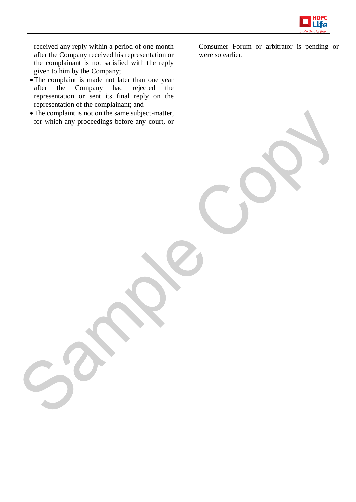

received any reply within a period of one month after the Company received his representation or the complainant is not satisfied with the reply given to him by the Company;

- The complaint is made not later than one year after the Company had rejected the representation or sent its final reply on the representation of the complainant; and
- The complaint is not on the same subject-matter, for which any proceedings before any court, or

Consumer Forum or arbitrator is pending or were so earlier.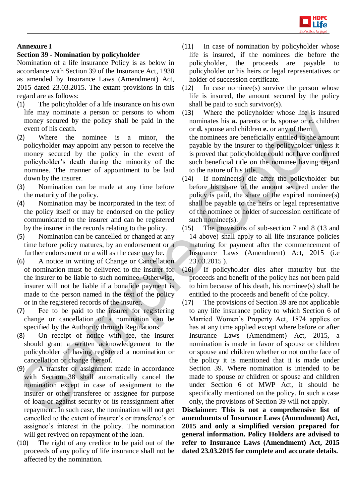

## **Annexure I**

## **Section 39 - Nomination by policyholder**

Nomination of a life insurance Policy is as below in accordance with Section 39 of the Insurance Act, 1938 as amended by Insurance Laws (Amendment) Act, 2015 dated 23.03.2015. The extant provisions in this regard are as follows:

- (1) The policyholder of a life insurance on his own life may nominate a person or persons to whom money secured by the policy shall be paid in the event of his death.
- (2) Where the nominee is a minor, the policyholder may appoint any person to receive the money secured by the policy in the event of policyholder's death during the minority of the nominee. The manner of appointment to be laid down by the insurer.
- (3) Nomination can be made at any time before the maturity of the policy.
- (4) Nomination may be incorporated in the text of the policy itself or may be endorsed on the policy communicated to the insurer and can be registered by the insurer in the records relating to the policy.
- (5) Nomination can be cancelled or changed at any time before policy matures, by an endorsement or a further endorsement or a will as the case may be.
- (6) A notice in writing of Change or Cancellation of nomination must be delivered to the insurer for the insurer to be liable to such nominee. Otherwise, insurer will not be liable if a bonafide payment is made to the person named in the text of the policy or in the registered records of the insurer.
- (7) Fee to be paid to the insurer for registering change or cancellation of a nomination can be specified by the Authority through Regulations.
- (8) On receipt of notice with fee, the insurer should grant a written acknowledgement to the policyholder of having registered a nomination or cancellation or change thereof.
- (9) A transfer or assignment made in accordance with Section 38 shall automatically cancel the nomination except in case of assignment to the insurer or other transferee or assignee for purpose of loan or against security or its reassignment after repayment. In such case, the nomination will not get cancelled to the extent of insurer's or transferee's or assignee's interest in the policy. The nomination will get revived on repayment of the loan.
- (10) The right of any creditor to be paid out of the proceeds of any policy of life insurance shall not be affected by the nomination.
- (11) In case of nomination by policyholder whose life is insured, if the nominees die before the policyholder, the proceeds are payable to policyholder or his heirs or legal representatives or holder of succession certificate.
- (12) In case nominee(s) survive the person whose life is insured, the amount secured by the policy shall be paid to such survivor(s).
- (13) Where the policyholder whose life is insured nominates his **a.** parents or **b.** spouse or **c.** children or **d.** spouse and children **e.** or any of them the nominees are beneficially entitled to the amount payable by the insurer to the policyholder unless it is proved that policyholder could not have conferred such beneficial title on the nominee having regard to the nature of his title.
- (14) If nominee(s) die after the policyholder but before his share of the amount secured under the policy is paid, the share of the expired nominee(s) shall be payable to the heirs or legal representative of the nominee or holder of succession certificate of such nominee(s).
- (15) The provisions of sub-section 7 and 8 (13 and 14 above) shall apply to all life insurance policies maturing for payment after the commencement of Insurance Laws (Amendment) Act, 2015 (i.e 23.03.2015 ).
- If policyholder dies after maturity but the proceeds and benefit of the policy has not been paid to him because of his death, his nominee(s) shall be entitled to the proceeds and benefit of the policy.
- (17) The provisions of Section 39 are not applicable to any life insurance policy to which Section 6 of Married Women's Property Act, 1874 applies or has at any time applied except where before or after Insurance Laws (Amendment) Act, 2015, a nomination is made in favor of spouse or children or spouse and children whether or not on the face of the policy it is mentioned that it is made under Section 39. Where nomination is intended to be made to spouse or children or spouse and children under Section 6 of MWP Act, it should be specifically mentioned on the policy. In such a case only, the provisions of Section 39 will not apply.

**Disclaimer: This is not a comprehensive list of amendments of Insurance Laws (Amendment) Act, 2015 and only a simplified version prepared for general information. Policy Holders are advised to refer to Insurance Laws (Amendment) Act, 2015 dated 23.03.2015 for complete and accurate details.**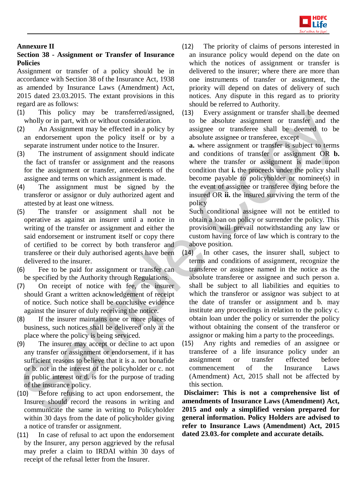

## **Annexure II**

## **Section 38 - Assignment or Transfer of Insurance Policies**

Assignment or transfer of a policy should be in accordance with Section 38 of the Insurance Act, 1938 as amended by Insurance Laws (Amendment) Act, 2015 dated 23.03.2015. The extant provisions in this regard are as follows:

- (1) This policy may be transferred/assigned, wholly or in part, with or without consideration.
- (2) An Assignment may be effected in a policy by an endorsement upon the policy itself or by a separate instrument under notice to the Insurer.
- (3) The instrument of assignment should indicate the fact of transfer or assignment and the reasons for the assignment or transfer, antecedents of the assignee and terms on which assignment is made.
- (4) The assignment must be signed by the transferor or assignor or duly authorized agent and attested by at least one witness.
- (5) The transfer or assignment shall not be operative as against an insurer until a notice in writing of the transfer or assignment and either the said endorsement or instrument itself or copy there of certified to be correct by both transferor and transferee or their duly authorised agents have been delivered to the insurer.
- (6) Fee to be paid for assignment or transfer can be specified by the Authority through Regulations.
- (7) On receipt of notice with fee, the insurer should Grant a written acknowledgement of receipt of notice. Such notice shall be conclusive evidence against the insurer of duly receiving the notice.
- (8) If the insurer maintains one or more places of business, such notices shall be delivered only at the place where the policy is being serviced.
- (9) The insurer may accept or decline to act upon any transfer or assignment or endorsement, if it has sufficient reasons to believe that it is a. not bonafide or b. not in the interest of the policyholder or c. not in public interest or d. is for the purpose of trading of the insurance policy.
- (10) Before refusing to act upon endorsement, the Insurer should record the reasons in writing and communicate the same in writing to Policyholder within 30 days from the date of policyholder giving a notice of transfer or assignment.
- (11) In case of refusal to act upon the endorsement by the Insurer, any person aggrieved by the refusal may prefer a claim to IRDAI within 30 days of receipt of the refusal letter from the Insurer.
- (12) The priority of claims of persons interested in an insurance policy would depend on the date on which the notices of assignment or transfer is delivered to the insurer; where there are more than one instruments of transfer or assignment, the priority will depend on dates of delivery of such notices. Any dispute in this regard as to priority should be referred to Authority.
- (13) Every assignment or transfer shall be deemed to be absolute assignment or transfer and the assignee or transferee shall be deemed to be absolute assignee or transferee, except

**a.** where assignment or transfer is subject to terms and conditions of transfer or assignment OR **b.** where the transfer or assignment is made upon condition that **i.** the proceeds under the policy shall become payable to policyholder or nominee(s) in the event of assignee or transferee dying before the insured OR **ii.** the insured surviving the term of the policy

Such conditional assignee will not be entitled to obtain a loan on policy or surrender the policy. This provision will prevail notwithstanding any law or custom having force of law which is contrary to the above position.

- (14) In other cases, the insurer shall, subject to terms and conditions of assignment, recognize the transferee or assignee named in the notice as the absolute transferee or assignee and such person a. shall be subject to all liabilities and equities to which the transferor or assignor was subject to at the date of transfer or assignment and b. may institute any proceedings in relation to the policy c. obtain loan under the policy or surrender the policy without obtaining the consent of the transferor or assignor or making him a party to the proceedings.
- (15) Any rights and remedies of an assignee or transferee of a life insurance policy under an assignment or transfer effected before commencement of the Insurance Laws (Amendment) Act, 2015 shall not be affected by this section.

**Disclaimer: This is not a comprehensive list of amendments of Insurance Laws (Amendment) Act, 2015 and only a simplified version prepared for general information. Policy Holders are advised to refer to Insurance Laws (Amendment) Act, 2015 dated 23.03. for complete and accurate details.**